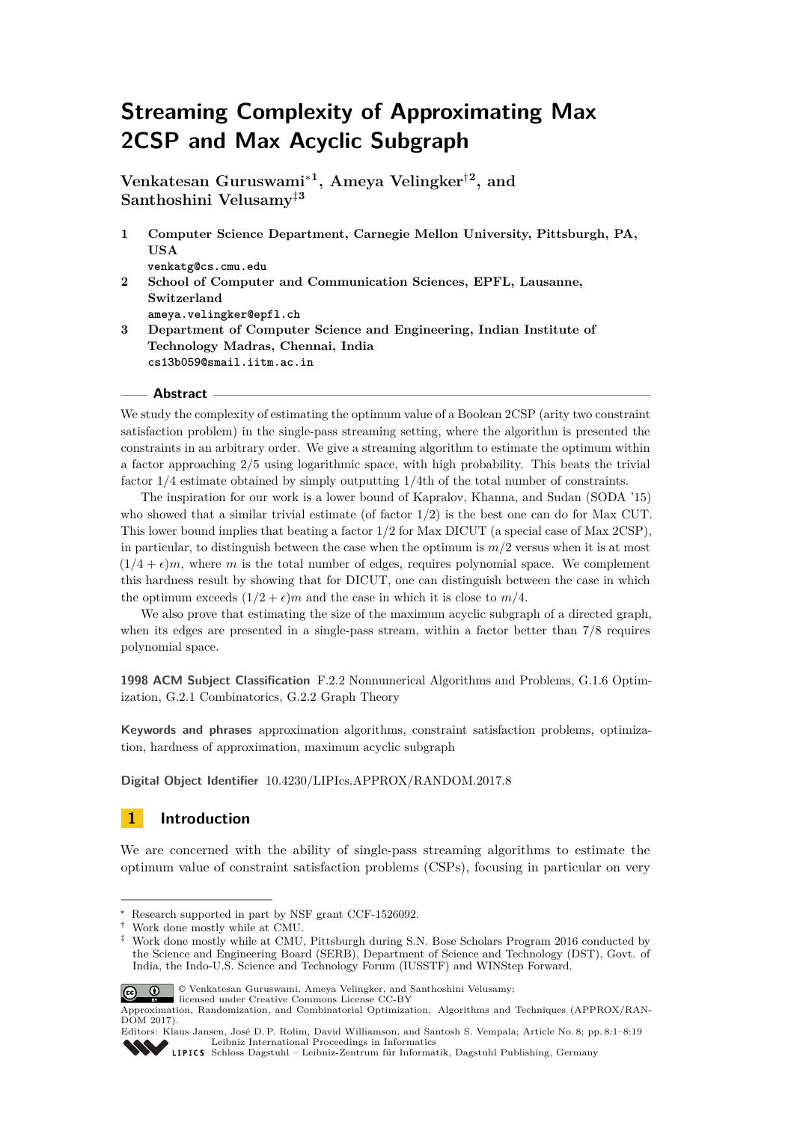# **Streaming Complexity of Approximating Max 2CSP and Max Acyclic Subgraph**

**Venkatesan Guruswami**<sup>∗</sup>**<sup>1</sup> , Ameya Velingker**†**<sup>2</sup> , and Santhoshini Velusamy**‡**<sup>3</sup>**

- **1 Computer Science Department, Carnegie Mellon University, Pittsburgh, PA, USA venkatg@cs.cmu.edu**
- **2 School of Computer and Communication Sciences, EPFL, Lausanne, Switzerland ameya.velingker@epfl.ch**
- **3 Department of Computer Science and Engineering, Indian Institute of Technology Madras, Chennai, India cs13b059@smail.iitm.ac.in**

## **Abstract**

We study the complexity of estimating the optimum value of a Boolean 2CSP (arity two constraint satisfaction problem) in the single-pass streaming setting, where the algorithm is presented the constraints in an arbitrary order. We give a streaming algorithm to estimate the optimum within a factor approaching 2*/*5 using logarithmic space, with high probability. This beats the trivial factor 1*/*4 estimate obtained by simply outputting 1*/*4th of the total number of constraints.

The inspiration for our work is a lower bound of Kapralov, Khanna, and Sudan (SODA '15) who showed that a similar trivial estimate (of factor 1*/*2) is the best one can do for Max CUT. This lower bound implies that beating a factor 1*/*2 for Max DICUT (a special case of Max 2CSP), in particular, to distinguish between the case when the optimum is  $m/2$  versus when it is at most  $(1/4 + \epsilon)m$ , where *m* is the total number of edges, requires polynomial space. We complement this hardness result by showing that for DICUT, one can distinguish between the case in which the optimum exceeds  $(1/2 + \epsilon)m$  and the case in which it is close to  $m/4$ .

We also prove that estimating the size of the maximum acyclic subgraph of a directed graph, when its edges are presented in a single-pass stream, within a factor better than 7*/*8 requires polynomial space.

**1998 ACM Subject Classification** F.2.2 Nonnumerical Algorithms and Problems, G.1.6 Optimization, G.2.1 Combinatorics, G.2.2 Graph Theory

**Keywords and phrases** approximation algorithms, constraint satisfaction problems, optimization, hardness of approximation, maximum acyclic subgraph

**Digital Object Identifier** [10.4230/LIPIcs.APPROX/RANDOM.2017.8](http://dx.doi.org/10.4230/LIPIcs.APPROX/RANDOM.2017.8)

# **1 Introduction**

We are concerned with the ability of single-pass streaming algorithms to estimate the optimum value of constraint satisfaction problems (CSPs), focusing in particular on very

<sup>‡</sup> Work done mostly while at CMU, Pittsburgh during S.N. Bose Scholars Program 2016 conducted by the Science and Engineering Board (SERB), Department of Science and Technology (DST), Govt. of India, the Indo-U.S. Science and Technology Forum (IUSSTF) and WINStep Forward.



© Venkatesan Guruswami, Ameya Velingker, and Santhoshini Velusamy;

licensed under Creative Commons License CC-BY

Research supported in part by NSF grant CCF-1526092.

<sup>†</sup> Work done mostly while at CMU.

Approximation, Randomization, and Combinatorial Optimization. Algorithms and Techniques (APPROX/RAN-DOM 2017).

Editors: Klaus Jansen, José D. P. Rolim, David Williamson, and Santosh S. Vempala; Article No. 8; pp. 8:1–8[:19](#page-18-0) [Leibniz International Proceedings in Informatics](http://www.dagstuhl.de/lipics/)

[Schloss Dagstuhl – Leibniz-Zentrum für Informatik, Dagstuhl Publishing, Germany](http://www.dagstuhl.de)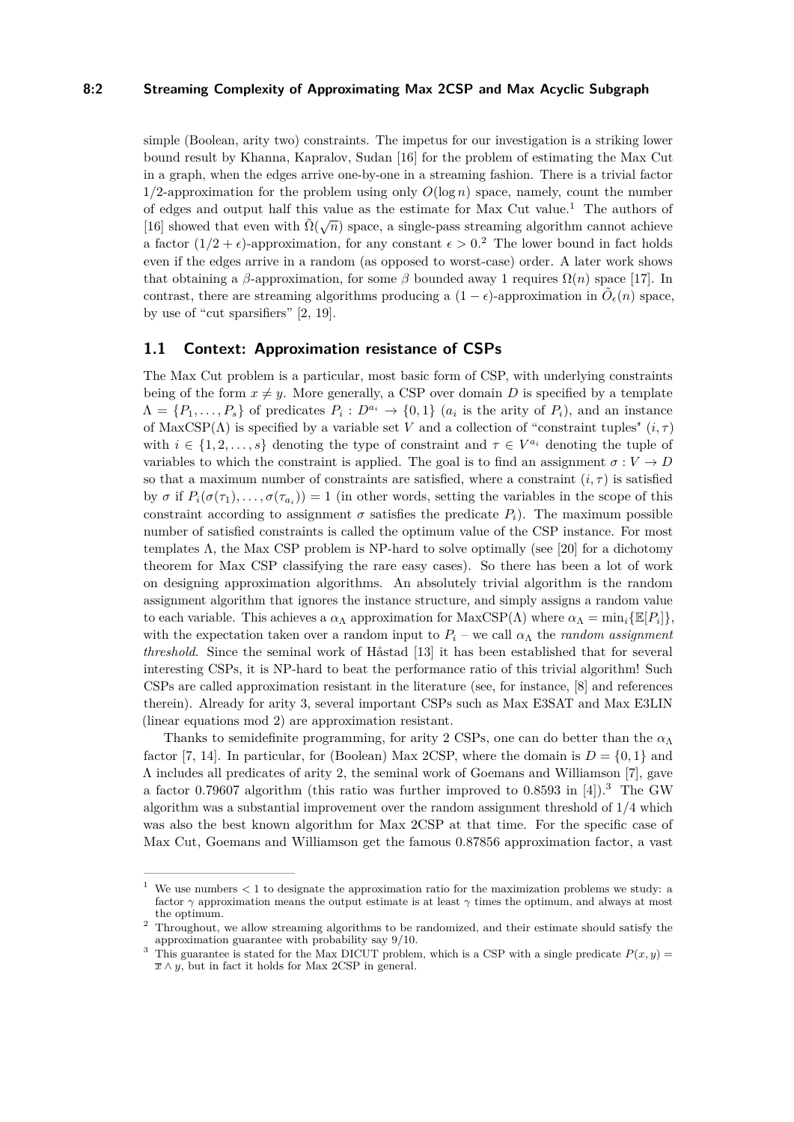# **8:2 Streaming Complexity of Approximating Max 2CSP and Max Acyclic Subgraph**

simple (Boolean, arity two) constraints. The impetus for our investigation is a striking lower bound result by Khanna, Kapralov, Sudan [\[16\]](#page-15-0) for the problem of estimating the Max Cut in a graph, when the edges arrive one-by-one in a streaming fashion. There is a trivial factor  $1/2$ -approximation for the problem using only  $O(\log n)$  space, namely, count the number of edges and output half this value as the estimate for Max Cut value.<sup>[1](#page-1-0)</sup> The authors of [\[16\]](#page-15-0) showed that even with  $\tilde{\Omega}(\sqrt{n})$  space, a single-pass streaming algorithm cannot achieve a factor  $(1/2 + \epsilon)$  $(1/2 + \epsilon)$  $(1/2 + \epsilon)$ -approximation, for any constant  $\epsilon > 0$ .<sup>2</sup> The lower bound in fact holds even if the edges arrive in a random (as opposed to worst-case) order. A later work shows that obtaining a  $\beta$ -approximation, for some  $\beta$  bounded away 1 requires  $\Omega(n)$  space [\[17\]](#page-15-1). In contrast, there are streaming algorithms producing a  $(1 - \epsilon)$ -approximation in  $\tilde{O}_{\epsilon}(n)$  space, by use of "cut sparsifiers" [\[2,](#page-14-0) [19\]](#page-15-2).

# **1.1 Context: Approximation resistance of CSPs**

The Max Cut problem is a particular, most basic form of CSP, with underlying constraints being of the form  $x \neq y$ . More generally, a CSP over domain *D* is specified by a template  $\Lambda = \{P_1, \ldots, P_s\}$  of predicates  $P_i: D^{a_i} \to \{0,1\}$  ( $a_i$  is the arity of  $P_i$ ), and an instance of MaxCSP( $\Lambda$ ) is specified by a variable set *V* and a collection of "constraint tuples"  $(i, \tau)$ with  $i \in \{1, 2, \ldots, s\}$  denoting the type of constraint and  $\tau \in V^{a_i}$  denoting the tuple of variables to which the constraint is applied. The goal is to find an assignment  $\sigma: V \to D$ so that a maximum number of constraints are satisfied, where a constraint  $(i, \tau)$  is satisfied by  $\sigma$  if  $P_i(\sigma(\tau_1), \ldots, \sigma(\tau_{a_i})) = 1$  (in other words, setting the variables in the scope of this constraint according to assignment  $\sigma$  satisfies the predicate  $P_i$ ). The maximum possible number of satisfied constraints is called the optimum value of the CSP instance. For most templates  $\Lambda$ , the Max CSP problem is NP-hard to solve optimally (see [\[20\]](#page-15-3) for a dichotomy theorem for Max CSP classifying the rare easy cases). So there has been a lot of work on designing approximation algorithms. An absolutely trivial algorithm is the random assignment algorithm that ignores the instance structure, and simply assigns a random value to each variable. This achieves a  $\alpha_{\Lambda}$  approximation for  $MaxCSP(\Lambda)$  where  $\alpha_{\Lambda} = \min_i \{ \mathbb{E}[P_i] \},$ with the expectation taken over a random input to  $P_i$  – we call  $\alpha_{\Lambda}$  the *random assignment threshold*. Since the seminal work of Håstad [\[13\]](#page-15-4) it has been established that for several interesting CSPs, it is NP-hard to beat the performance ratio of this trivial algorithm! Such CSPs are called approximation resistant in the literature (see, for instance, [\[8\]](#page-14-1) and references therein). Already for arity 3, several important CSPs such as Max E3SAT and Max E3LIN (linear equations mod 2) are approximation resistant.

Thanks to semidefinite programming, for arity 2 CSPs, one can do better than the  $\alpha_{\Lambda}$ factor [\[7,](#page-14-2) [14\]](#page-15-5). In particular, for (Boolean) Max 2CSP, where the domain is  $D = \{0, 1\}$  and Λ includes all predicates of arity 2, the seminal work of Goemans and Williamson [\[7\]](#page-14-2), gave a factor 0*.*79607 algorithm (this ratio was further improved to 0*.*8593 in [\[4\]](#page-14-3)).[3](#page-1-2) The GW algorithm was a substantial improvement over the random assignment threshold of 1*/*4 which was also the best known algorithm for Max 2CSP at that time. For the specific case of Max Cut, Goemans and Williamson get the famous 0*.*87856 approximation factor, a vast

<span id="page-1-0"></span> $1\,$  We use numbers  $<1$  to designate the approximation ratio for the maximization problems we study: a factor *γ* approximation means the output estimate is at least *γ* times the optimum, and always at most the optimum.

<span id="page-1-1"></span><sup>2</sup> Throughout, we allow streaming algorithms to be randomized, and their estimate should satisfy the approximation guarantee with probability say 9*/*10.

<span id="page-1-2"></span><sup>&</sup>lt;sup>3</sup> This guarantee is stated for the Max DICUT problem, which is a CSP with a single predicate  $P(x, y)$  =  $\overline{x} \wedge y$ , but in fact it holds for Max 2CSP in general.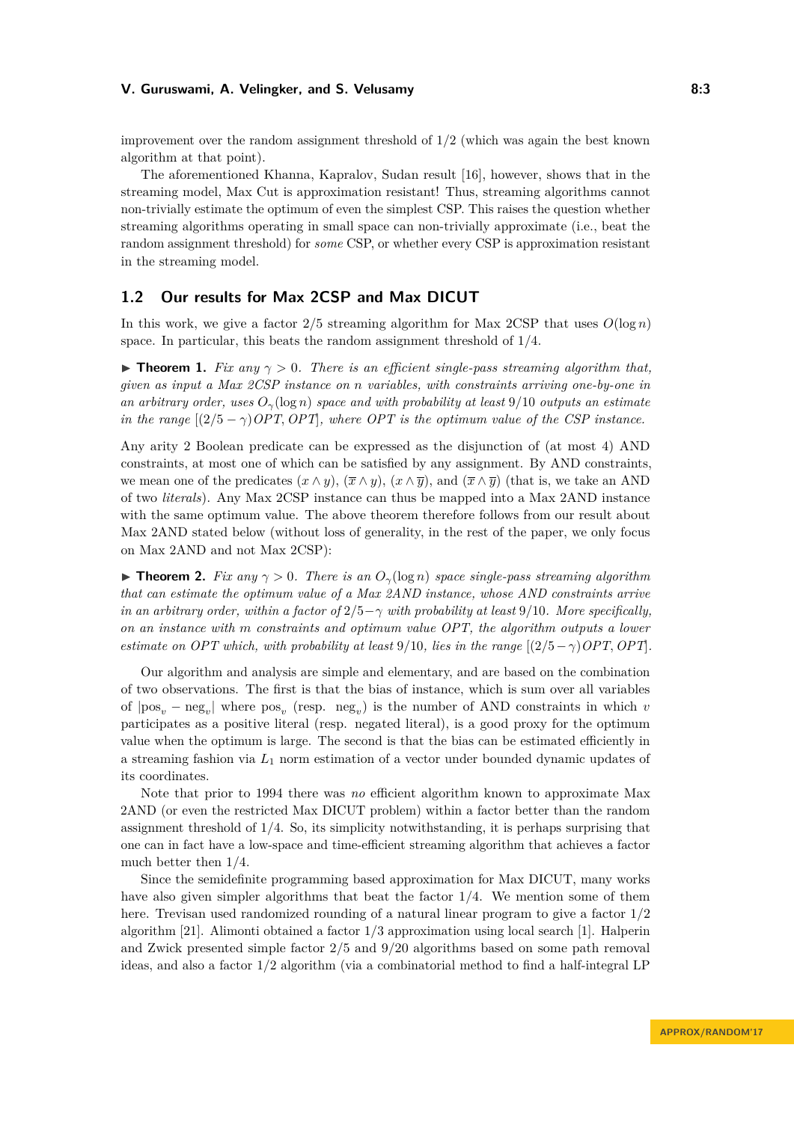improvement over the random assignment threshold of 1*/*2 (which was again the best known algorithm at that point).

The aforementioned Khanna, Kapralov, Sudan result [\[16\]](#page-15-0), however, shows that in the streaming model, Max Cut is approximation resistant! Thus, streaming algorithms cannot non-trivially estimate the optimum of even the simplest CSP. This raises the question whether streaming algorithms operating in small space can non-trivially approximate (i.e., beat the random assignment threshold) for *some* CSP, or whether every CSP is approximation resistant in the streaming model.

# **1.2 Our results for Max 2CSP and Max DICUT**

In this work, we give a factor  $2/5$  streaming algorithm for Max 2CSP that uses  $O(\log n)$ space. In particular, this beats the random assignment threshold of 1*/*4.

**Figure 1.** *Fix any*  $\gamma > 0$ . There is an efficient single-pass streaming algorithm that, *given as input a Max 2CSP instance on n variables, with constraints arriving one-by-one in an arbitrary order, uses Oγ*(log *n*) *space and with probability at least* 9*/*10 *outputs an estimate in the range*  $[(2/5 - \gamma)OPT, OPT]$ , where OPT is the optimum value of the CSP instance.

Any arity 2 Boolean predicate can be expressed as the disjunction of (at most 4) AND constraints, at most one of which can be satisfied by any assignment. By AND constraints, we mean one of the predicates  $(x \wedge y)$ ,  $(\overline{x} \wedge y)$ ,  $(x \wedge \overline{y})$ , and  $(\overline{x} \wedge \overline{y})$  (that is, we take an AND of two *literals*). Any Max 2CSP instance can thus be mapped into a Max 2AND instance with the same optimum value. The above theorem therefore follows from our result about Max 2AND stated below (without loss of generality, in the rest of the paper, we only focus on Max 2AND and not Max 2CSP):

**Figure 12.** *Fix any*  $\gamma > 0$ . *There is an*  $O_{\gamma}(\log n)$  *space single-pass streaming algorithm that can estimate the optimum value of a Max 2AND instance, whose AND constraints arrive in an arbitrary order, within a factor of*  $2/5 - \gamma$  *with probability at least* 9*/*10*. More specifically, on an instance with m constraints and optimum value OPT, the algorithm outputs a lower estimate on OPT which, with probability at least 9/10, lies in the range*  $[(2/5 - \gamma)OPT, OPT, P$ .

Our algorithm and analysis are simple and elementary, and are based on the combination of two observations. The first is that the bias of instance, which is sum over all variables of  $|pos_v - neg_v|$  where  $pos_v$  (resp.  $neg_v$ ) is the number of AND constraints in which *v* participates as a positive literal (resp. negated literal), is a good proxy for the optimum value when the optimum is large. The second is that the bias can be estimated efficiently in a streaming fashion via *L*<sup>1</sup> norm estimation of a vector under bounded dynamic updates of its coordinates.

Note that prior to 1994 there was *no* efficient algorithm known to approximate Max 2AND (or even the restricted Max DICUT problem) within a factor better than the random assignment threshold of 1*/*4. So, its simplicity notwithstanding, it is perhaps surprising that one can in fact have a low-space and time-efficient streaming algorithm that achieves a factor much better then 1*/*4.

Since the semidefinite programming based approximation for Max DICUT, many works have also given simpler algorithms that beat the factor 1*/*4. We mention some of them here. Trevisan used randomized rounding of a natural linear program to give a factor 1*/*2 algorithm [\[21\]](#page-15-6). Alimonti obtained a factor 1*/*3 approximation using local search [\[1\]](#page-14-4). Halperin and Zwick presented simple factor 2*/*5 and 9*/*20 algorithms based on some path removal ideas, and also a factor 1*/*2 algorithm (via a combinatorial method to find a half-integral LP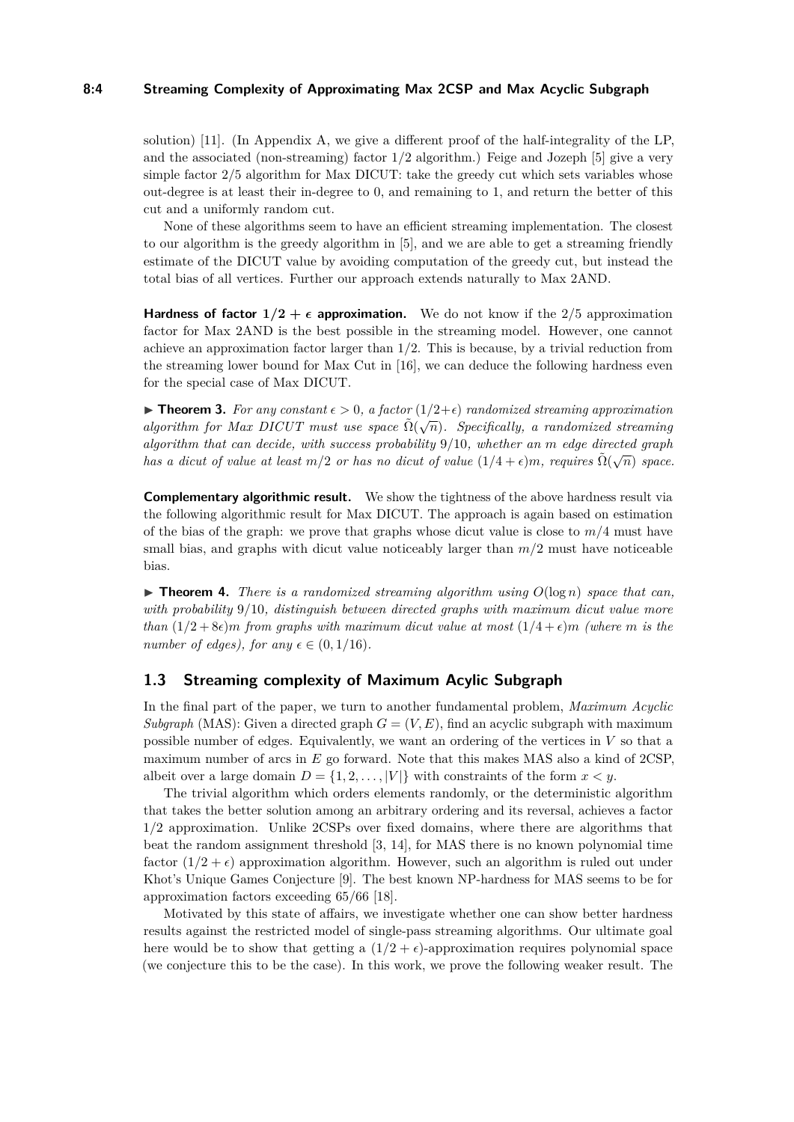## **8:4 Streaming Complexity of Approximating Max 2CSP and Max Acyclic Subgraph**

solution) [\[11\]](#page-15-7). (In Appendix [A,](#page-15-8) we give a different proof of the half-integrality of the LP, and the associated (non-streaming) factor 1*/*2 algorithm.) Feige and Jozeph [\[5\]](#page-14-5) give a very simple factor  $2/5$  algorithm for Max DICUT: take the greedy cut which sets variables whose out-degree is at least their in-degree to 0, and remaining to 1, and return the better of this cut and a uniformly random cut.

None of these algorithms seem to have an efficient streaming implementation. The closest to our algorithm is the greedy algorithm in [\[5\]](#page-14-5), and we are able to get a streaming friendly estimate of the DICUT value by avoiding computation of the greedy cut, but instead the total bias of all vertices. Further our approach extends naturally to Max 2AND.

**Hardness of factor**  $1/2 + \epsilon$  **approximation.** We do not know if the 2/5 approximation factor for Max 2AND is the best possible in the streaming model. However, one cannot achieve an approximation factor larger than 1*/*2. This is because, by a trivial reduction from the streaming lower bound for Max Cut in [\[16\]](#page-15-0), we can deduce the following hardness even for the special case of Max DICUT.

**► Theorem 3.** For any constant  $\epsilon > 0$ , a factor  $(1/2+\epsilon)$  randomized streaming approximation *algorithm for Max DICUT must use space*  $\tilde{\Omega}(\sqrt{n})$ *. Specifically, a randomized streaming algorithm that can decide, with success probability* 9*/*10*, whether an m edge directed graph has a dicut of value at least*  $m/2$  *or has no dicut of value*  $(1/4 + \epsilon)m$ *, requires*  $\tilde{\Omega}(\sqrt{n})$  *space.* 

**Complementary algorithmic result.** We show the tightness of the above hardness result via the following algorithmic result for Max DICUT. The approach is again based on estimation of the bias of the graph: we prove that graphs whose dicut value is close to *m/*4 must have small bias, and graphs with dicut value noticeably larger than *m/*2 must have noticeable bias.

 $\triangleright$  **Theorem 4.** *There is a randomized streaming algorithm using*  $O(\log n)$  *space that can, with probability* 9*/*10*, distinguish between directed graphs with maximum dicut value more than*  $(1/2 + 8\epsilon)m$  *from graphs with maximum dicut value at most*  $(1/4 + \epsilon)m$  *(where m is the number of edges), for any*  $\epsilon \in (0, 1/16)$ *.* 

# **1.3 Streaming complexity of Maximum Acylic Subgraph**

In the final part of the paper, we turn to another fundamental problem, *Maximum Acyclic Subgraph* (MAS): Given a directed graph  $G = (V, E)$ , find an acyclic subgraph with maximum possible number of edges. Equivalently, we want an ordering of the vertices in *V* so that a maximum number of arcs in *E* go forward. Note that this makes MAS also a kind of 2CSP, albeit over a large domain  $D = \{1, 2, \ldots, |V|\}$  with constraints of the form  $x < y$ .

The trivial algorithm which orders elements randomly, or the deterministic algorithm that takes the better solution among an arbitrary ordering and its reversal, achieves a factor 1*/*2 approximation. Unlike 2CSPs over fixed domains, where there are algorithms that beat the random assignment threshold [\[3,](#page-14-6) [14\]](#page-15-5), for MAS there is no known polynomial time factor  $(1/2 + \epsilon)$  approximation algorithm. However, such an algorithm is ruled out under Khot's Unique Games Conjecture [\[9\]](#page-15-9). The best known NP-hardness for MAS seems to be for approximation factors exceeding 65*/*66 [\[18\]](#page-15-10).

Motivated by this state of affairs, we investigate whether one can show better hardness results against the restricted model of single-pass streaming algorithms. Our ultimate goal here would be to show that getting a  $(1/2 + \epsilon)$ -approximation requires polynomial space (we conjecture this to be the case). In this work, we prove the following weaker result. The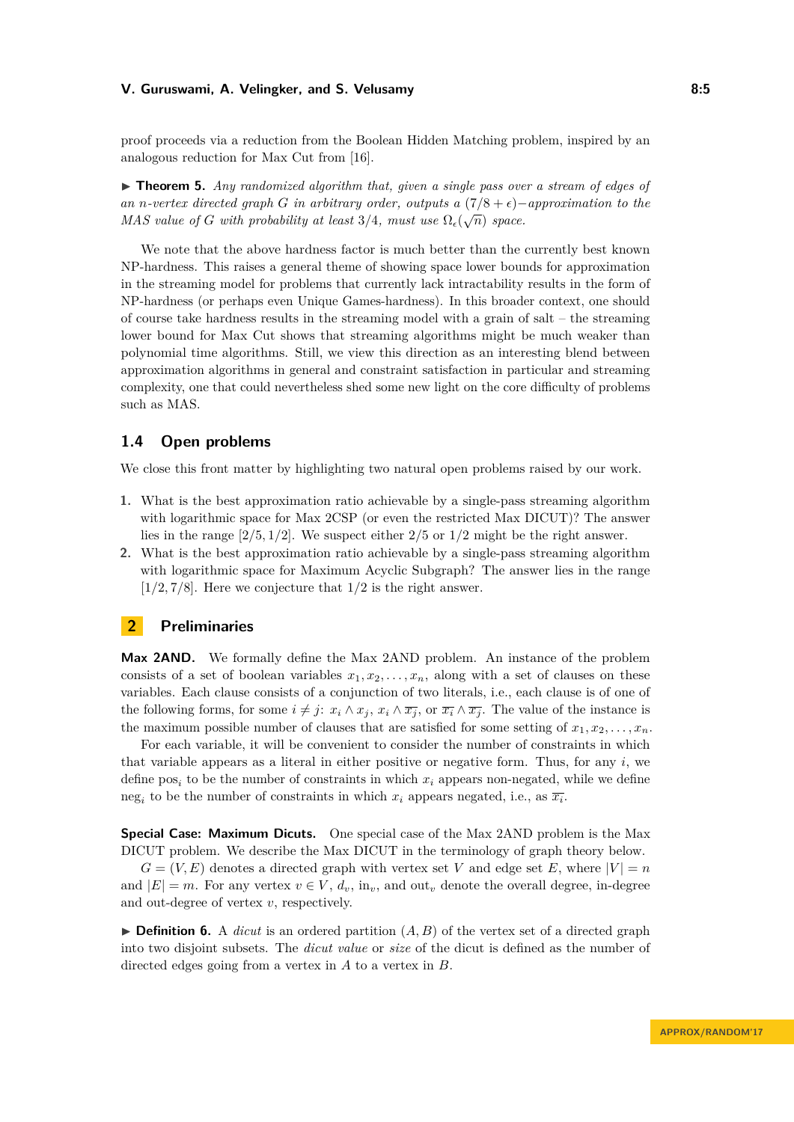proof proceeds via a reduction from the Boolean Hidden Matching problem, inspired by an analogous reduction for Max Cut from [\[16\]](#page-15-0).

▶ **Theorem 5.** *Any randomized algorithm that, given a single pass over a stream of edges of an n*-vertex directed graph *G* in arbitrary order, outputs a  $(7/8 + \epsilon)$ −approximation to the *MAS value of G with probability at least*  $3/4$ *, must use*  $\Omega_{\epsilon}(\sqrt{n})$  *space.* 

We note that the above hardness factor is much better than the currently best known NP-hardness. This raises a general theme of showing space lower bounds for approximation in the streaming model for problems that currently lack intractability results in the form of NP-hardness (or perhaps even Unique Games-hardness). In this broader context, one should of course take hardness results in the streaming model with a grain of salt – the streaming lower bound for Max Cut shows that streaming algorithms might be much weaker than polynomial time algorithms. Still, we view this direction as an interesting blend between approximation algorithms in general and constraint satisfaction in particular and streaming complexity, one that could nevertheless shed some new light on the core difficulty of problems such as MAS.

# **1.4 Open problems**

We close this front matter by highlighting two natural open problems raised by our work.

- **1.** What is the best approximation ratio achievable by a single-pass streaming algorithm with logarithmic space for Max 2CSP (or even the restricted Max DICUT)? The answer lies in the range [2*/*5*,* 1*/*2]. We suspect either 2*/*5 or 1*/*2 might be the right answer.
- **2.** What is the best approximation ratio achievable by a single-pass streaming algorithm with logarithmic space for Maximum Acyclic Subgraph? The answer lies in the range  $[1/2, 7/8]$ . Here we conjecture that  $1/2$  is the right answer.

## **2 Preliminaries**

**Max 2AND.** We formally define the Max 2AND problem. An instance of the problem consists of a set of boolean variables  $x_1, x_2, \ldots, x_n$ , along with a set of clauses on these variables. Each clause consists of a conjunction of two literals, i.e., each clause is of one of the following forms, for some  $i \neq j$ :  $x_i \wedge x_j$ ,  $x_i \wedge \overline{x_j}$ , or  $\overline{x_i} \wedge \overline{x_j}$ . The value of the instance is the maximum possible number of clauses that are satisfied for some setting of  $x_1, x_2, \ldots, x_n$ .

For each variable, it will be convenient to consider the number of constraints in which that variable appears as a literal in either positive or negative form. Thus, for any *i*, we define  $pos<sub>i</sub>$  to be the number of constraints in which  $x<sub>i</sub>$  appears non-negated, while we define neg<sub>*i*</sub> to be the number of constraints in which  $x_i$  appears negated, i.e., as  $\overline{x_i}$ .

**Special Case: Maximum Dicuts.** One special case of the Max 2AND problem is the Max DICUT problem. We describe the Max DICUT in the terminology of graph theory below.

 $G = (V, E)$  denotes a directed graph with vertex set *V* and edge set *E*, where  $|V| = n$ and  $|E| = m$ . For any vertex  $v \in V$ ,  $d_v$ , in<sub>v</sub>, and out<sub>v</sub> denote the overall degree, in-degree and out-degree of vertex *v*, respectively.

 $\triangleright$  **Definition 6.** A *dicut* is an ordered partition  $(A, B)$  of the vertex set of a directed graph into two disjoint subsets. The *dicut value* or *size* of the dicut is defined as the number of directed edges going from a vertex in *A* to a vertex in *B*.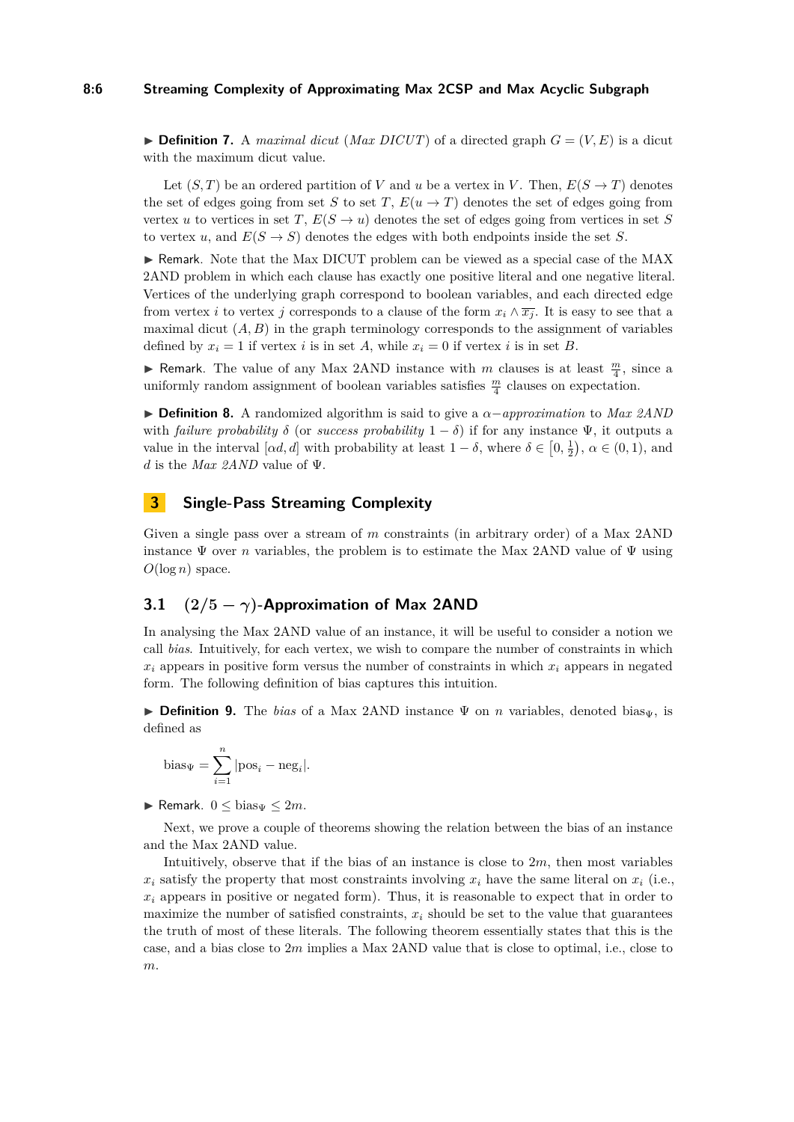#### **8:6 Streaming Complexity of Approximating Max 2CSP and Max Acyclic Subgraph**

<span id="page-5-0"></span> $\triangleright$  **Definition 7.** A *maximal dicut* (*Max DICUT*) of a directed graph  $G = (V, E)$  is a dicut with the maximum dicut value.

Let  $(S, T)$  be an ordered partition of *V* and *u* be a vertex in *V*. Then,  $E(S \to T)$  denotes the set of edges going from set *S* to set *T*,  $E(u \rightarrow T)$  denotes the set of edges going from vertex *u* to vertices in set *T*,  $E(S \to u)$  denotes the set of edges going from vertices in set *S* to vertex *u*, and  $E(S \to S)$  denotes the edges with both endpoints inside the set *S*.

I Remark. Note that the Max DICUT problem can be viewed as a special case of the MAX 2AND problem in which each clause has exactly one positive literal and one negative literal. Vertices of the underlying graph correspond to boolean variables, and each directed edge from vertex *i* to vertex *j* corresponds to a clause of the form  $x_i \wedge \overline{x_i}$ . It is easy to see that a maximal dicut  $(A, B)$  in the graph terminology corresponds to the assignment of variables defined by  $x_i = 1$  if vertex *i* is in set *A*, while  $x_i = 0$  if vertex *i* is in set *B*.

**Formark.** The value of any Max 2AND instance with *m* clauses is at least  $\frac{m}{4}$ , since a uniformly random assignment of boolean variables satisfies  $\frac{m}{4}$  clauses on expectation.

I **Definition 8.** A randomized algorithm is said to give a *α*−*approximation* to *Max 2AND* with *failure probability*  $\delta$  (or *success probability*  $1 - \delta$ ) if for any instance  $\Psi$ , it outputs a value in the interval  $[\alpha d, d]$  with probability at least  $1 - \delta$ , where  $\delta \in [0, \frac{1}{2})$ ,  $\alpha \in (0, 1)$ , and *d* is the *Max 2AND* value of Ψ.

# **3 Single-Pass Streaming Complexity**

Given a single pass over a stream of *m* constraints (in arbitrary order) of a Max 2AND instance  $\Psi$  over *n* variables, the problem is to estimate the Max 2AND value of  $\Psi$  using  $O(\log n)$  space.

# **3.1 (2***/***5 −** *γ***)-Approximation of Max 2AND**

In analysing the Max 2AND value of an instance, it will be useful to consider a notion we call *bias*. Intuitively, for each vertex, we wish to compare the number of constraints in which  $x_i$  appears in positive form versus the number of constraints in which  $x_i$  appears in negated form. The following definition of bias captures this intuition.

**Definition 9.** The *bias* of a Max 2AND instance  $\Psi$  on *n* variables, denoted bias<sub> $\Psi$ </sub>, is defined as

bias<sub>\Psi</sub> = 
$$
\sum_{i=1}^{n} |pos_i - neg_i|
$$
.

**I** Remark.  $0 \leq \text{bias}_{\Psi} \leq 2m$ .

Next, we prove a couple of theorems showing the relation between the bias of an instance and the Max 2AND value.

Intuitively, observe that if the bias of an instance is close to 2*m*, then most variables  $x_i$  satisfy the property that most constraints involving  $x_i$  have the same literal on  $x_i$  (i.e.,  $x_i$  appears in positive or negated form). Thus, it is reasonable to expect that in order to maximize the number of satisfied constraints,  $x_i$  should be set to the value that guarantees the truth of most of these literals. The following theorem essentially states that this is the case, and a bias close to 2*m* implies a Max 2AND value that is close to optimal, i.e., close to *m*.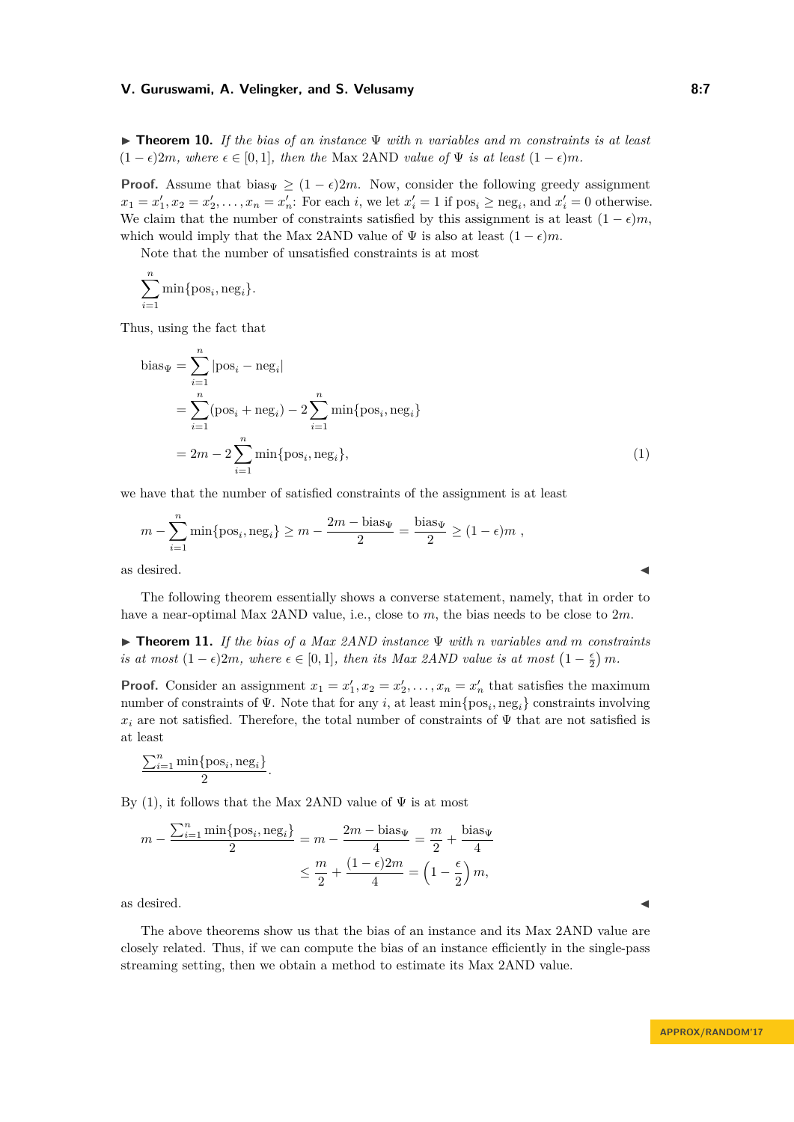<span id="page-6-1"></span>I **Theorem 10.** *If the bias of an instance* Ψ *with n variables and m constraints is at least*  $(1 - \epsilon)2m$ *, where*  $\epsilon \in [0, 1]$ *, then the* Max 2AND *value of*  $\Psi$  *is at least*  $(1 - \epsilon)m$ *.* 

**Proof.** Assume that bias<sub>Ψ</sub>  $\geq (1 - \epsilon)2m$ . Now, consider the following greedy assignment  $x_1 = x'_1, x_2 = x'_2, \ldots, x_n = x'_n$ : For each *i*, we let  $x'_i = 1$  if  $pos_i \geq neg_i$ , and  $x'_i = 0$  otherwise. We claim that the number of constraints satisfied by this assignment is at least  $(1 - \epsilon)m$ , which would imply that the Max 2AND value of  $\Psi$  is also at least  $(1 - \epsilon)m$ .

Note that the number of unsatisfied constraints is at most

$$
\sum_{i=1}^n \min\{\text{pos}_i, \text{neg}_i\}.
$$

Thus, using the fact that

<span id="page-6-0"></span>bias<sub>$$
\Psi
$$</sub> =  $\sum_{i=1}^{n} |pos_i - neg_i|$   
\n=  $\sum_{i=1}^{n} (pos_i + neg_i) - 2 \sum_{i=1}^{n} \min \{pos_i, neg_i\}$   
\n=  $2m - 2 \sum_{i=1}^{n} \min \{pos_i, neg_i\},$  (1)

we have that the number of satisfied constraints of the assignment is at least

$$
m-\sum_{i=1}^n\min\{{\rm pos}_i,{\rm neg}_i\}\geq m-\frac{2m-{\rm bias}_\Psi}{2}=\frac{{\rm bias}_\Psi}{2}\geq (1-\epsilon)m\ ,
$$
 as desired.

The following theorem essentially shows a converse statement, namely, that in order to have a near-optimal Max 2AND value, i.e., close to *m*, the bias needs to be close to 2*m*.

<span id="page-6-2"></span>I **Theorem 11.** *If the bias of a Max 2AND instance* Ψ *with n variables and m constraints is at most*  $(1 - \epsilon)2m$ *, where*  $\epsilon \in [0, 1]$ *, then its Max 2AND value is at most*  $(1 - \frac{\epsilon}{2})m$ *.* 

**Proof.** Consider an assignment  $x_1 = x_1', x_2 = x_2', \ldots, x_n = x_n'$  that satisfies the maximum number of constraints of Ψ. Note that for any *i*, at least min{pos*<sup>i</sup> ,* neg*i*} constraints involving  $x_i$  are not satisfied. Therefore, the total number of constraints of  $\Psi$  that are not satisfied is at least

$$
\frac{\sum_{i=1}^{n} \min\{\text{pos}_i, \text{neg}_i\}}{2}.
$$

By [\(1\)](#page-6-0), it follows that the Max 2AND value of  $\Psi$  is at most

$$
m - \frac{\sum_{i=1}^{n} \min\{\text{pos}_i, \text{neg}_i\}}{2} = m - \frac{2m - \text{bias}_{\Psi}}{4} = \frac{m}{2} + \frac{\text{bias}_{\Psi}}{4}
$$

$$
\leq \frac{m}{2} + \frac{(1 - \epsilon)2m}{4} = \left(1 - \frac{\epsilon}{2}\right)m,
$$

as desired.  $\blacksquare$ 

The above theorems show us that the bias of an instance and its Max 2AND value are closely related. Thus, if we can compute the bias of an instance efficiently in the single-pass streaming setting, then we obtain a method to estimate its Max 2AND value.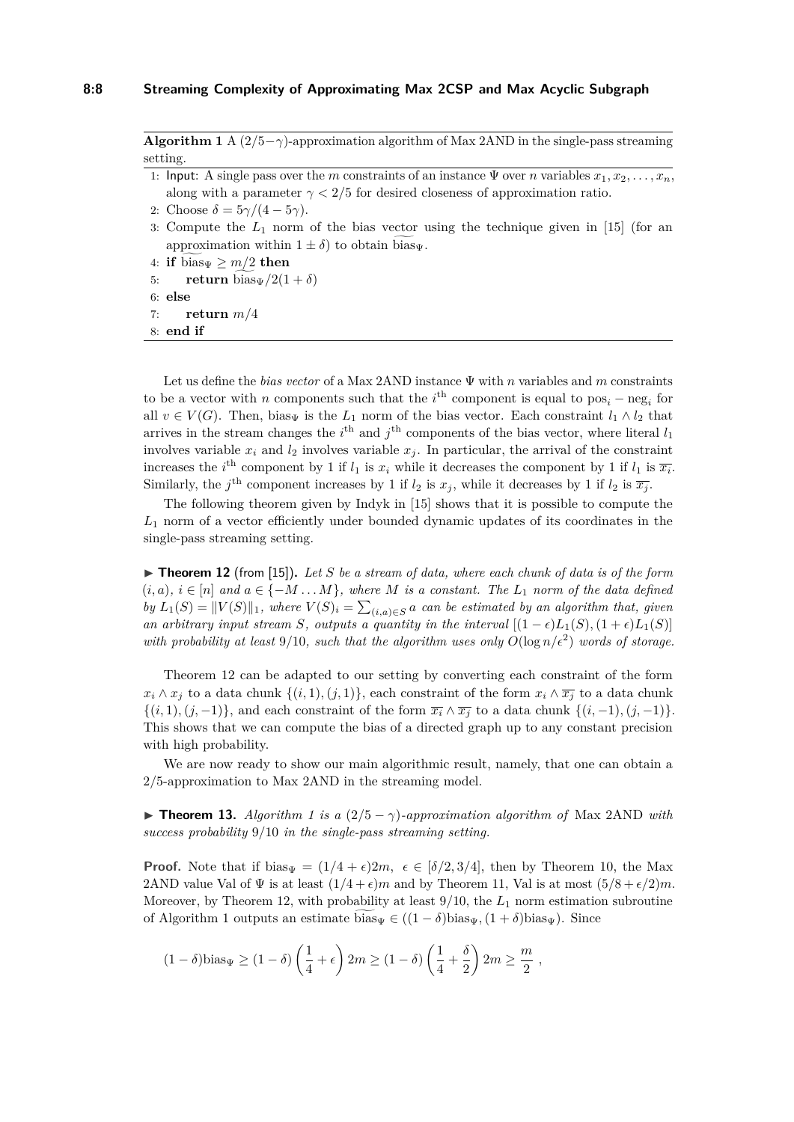<span id="page-7-1"></span>**Algorithm 1** A  $(2/5 - \gamma)$ -approximation algorithm of Max 2AND in the single-pass streaming setting.

- 1: Input: A single pass over the *m* constraints of an instance  $\Psi$  over *n* variables  $x_1, x_2, \ldots, x_n$ , along with a parameter  $\gamma < 2/5$  for desired closeness of approximation ratio.
- 2: Choose  $\delta = 5\gamma/(4 5\gamma)$ .
- 3: Compute the  $L_1$  norm of the bias vector using the technique given in [\[15\]](#page-15-11) (for an approximation within  $1 \pm \delta$  to obtain bias<sub> $\Psi$ </sub>.
- 4: **if** bias<sub> $\Psi \ge m/2$  **then**<br>5: **return** bias<sub> $\Psi$ </sub> /2(1)</sub>
- $\text{return } \text{bias}_{\Psi}/2(1+\delta)$
- 6: **else**

```
7: return m/4
```
8: **end if**

Let us define the *bias vector* of a Max 2AND instance Ψ with *n* variables and *m* constraints to be a vector with *n* components such that the  $i<sup>th</sup>$  component is equal to  $pos<sub>i</sub> - neg<sub>i</sub>$  for all  $v \in V(G)$ . Then, bias<sub>Ψ</sub> is the  $L_1$  norm of the bias vector. Each constraint  $l_1 \wedge l_2$  that arrives in the stream changes the  $i^{\text{th}}$  and  $j^{\text{th}}$  components of the bias vector, where literal  $l_1$ involves variable  $x_i$  and  $l_2$  involves variable  $x_j$ . In particular, the arrival of the constraint increases the *i*<sup>th</sup> component by 1 if *l*<sub>1</sub> is  $x_i$  while it decreases the component by 1 if *l*<sub>1</sub> is  $\overline{x_i}$ . Similarly, the *j*<sup>th</sup> component increases by 1 if  $l_2$  is  $x_j$ , while it decreases by 1 if  $l_2$  is  $\overline{x_j}$ .

The following theorem given by Indyk in [\[15\]](#page-15-11) shows that it is possible to compute the *L*<sup>1</sup> norm of a vector efficiently under bounded dynamic updates of its coordinates in the single-pass streaming setting.

<span id="page-7-0"></span> $\triangleright$  **Theorem 12** (from [\[15\]](#page-15-11)). Let *S* be a stream of data, where each chunk of data is of the form  $(i, a), i \in [n]$  and  $a \in \{-M \dots M\}$ , where M is a constant. The  $L_1$  norm of the data defined *by*  $L_1(S) = ||V(S)||_1$ , where  $V(S)_i = \sum_{(i,a) \in S} a$  can be estimated by an algorithm that, given *an arbitrary input stream S, outputs a quantity in the interval*  $[(1 - \epsilon)L_1(S), (1 + \epsilon)L_1(S)]$ with probability at least  $9/10$ , such that the algorithm uses only  $O(\log n/\epsilon^2)$  words of storage.

Theorem [12](#page-7-0) can be adapted to our setting by converting each constraint of the form *x*<sup>*i*</sup> ∧ *x*<sup>*j*</sup> to a data chunk { $(i, 1), (j, 1)$ }, each constraint of the form *x<sub>i</sub>* ∧  $\overline{x_j}$  to a data chunk  $\{(i, 1), (j, -1)\}\$ , and each constraint of the form  $\overline{x_i} \wedge \overline{x_j}$  to a data chunk  $\{(i, -1), (j, -1)\}\$ . This shows that we can compute the bias of a directed graph up to any constant precision with high probability.

We are now ready to show our main algorithmic result, namely, that one can obtain a 2*/*5-approximation to Max 2AND in the streaming model.

**► Theorem [1](#page-7-1)3.** *Algorithm 1 is a*  $(2/5 - \gamma)$ *-approximation algorithm of* Max 2AND *with success probability* 9*/*10 *in the single-pass streaming setting.*

**Proof.** Note that if bias<sub>V</sub> =  $(1/4 + \epsilon)2m$ ,  $\epsilon \in [\delta/2, 3/4]$ , then by Theorem [10,](#page-6-1) the Max 2AND value Val of  $\Psi$  is at least  $(1/4 + \epsilon)m$  and by Theorem [11,](#page-6-2) Val is at most  $(5/8 + \epsilon/2)m$ . Moreover, by Theorem [12,](#page-7-0) with probability at least 9/10, the  $L_1$  norm estimation subroutine of Algorithm [1](#page-7-1) outputs an estimate bias $\psi \in ((1 - \delta)$ bias $\psi$ ,  $(1 + \delta)$ bias $\psi$ ). Since

$$
(1 - \delta)\mathrm{bias}_{\Psi} \ge (1 - \delta) \left(\frac{1}{4} + \epsilon\right) 2m \ge (1 - \delta) \left(\frac{1}{4} + \frac{\delta}{2}\right) 2m \ge \frac{m}{2} ,
$$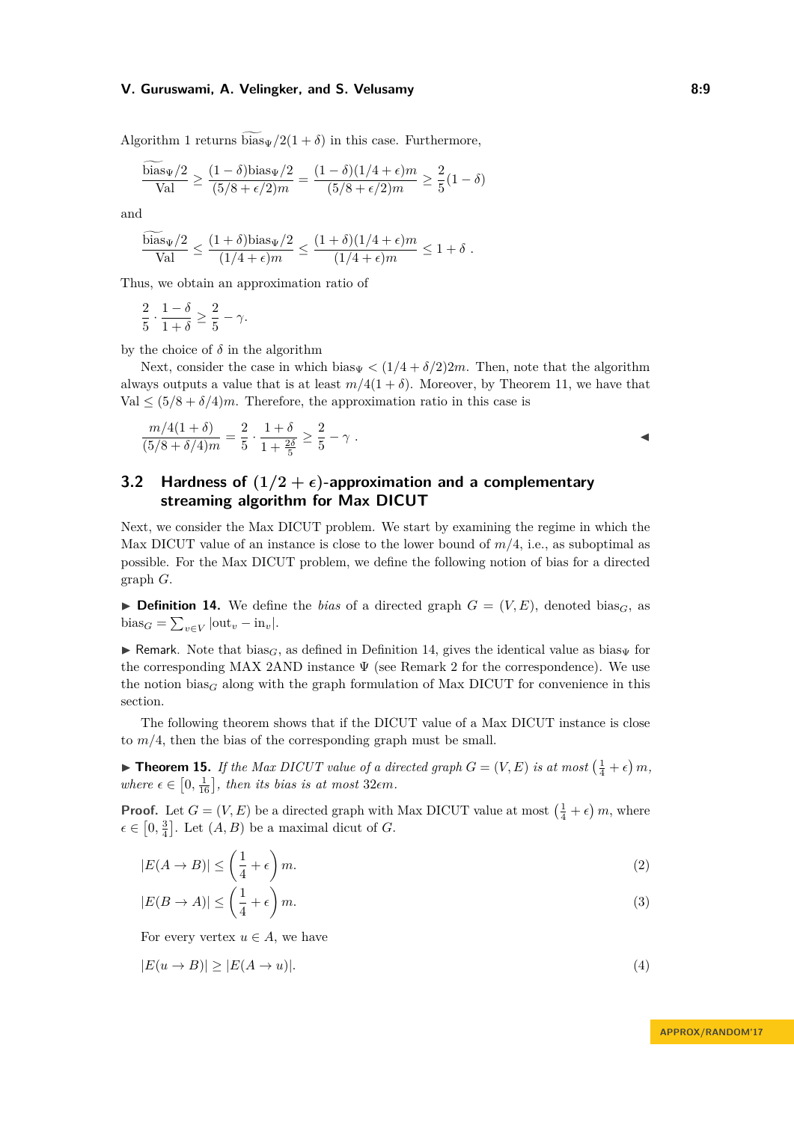Algorithm [1](#page-7-1) returns  $\widetilde{\text{bias}_{\Psi}}/2(1+\delta)$  in this case. Furthermore,

$$
\frac{\text{bias}_{\Psi}/2}{\text{Val}} \ge \frac{(1-\delta)\text{bias}_{\Psi}/2}{(5/8 + \epsilon/2)m} = \frac{(1-\delta)(1/4 + \epsilon)m}{(5/8 + \epsilon/2)m} \ge \frac{2}{5}(1-\delta)
$$

and

$$
\frac{\text{bias}_{\Psi}/2}{\text{Val}} \le \frac{(1+\delta)\text{bias}_{\Psi}/2}{(1/4+\epsilon)m} \le \frac{(1+\delta)(1/4+\epsilon)m}{(1/4+\epsilon)m} \le 1+\delta.
$$

Thus, we obtain an approximation ratio of

$$
\frac{2}{5} \cdot \frac{1-\delta}{1+\delta} \ge \frac{2}{5} - \gamma.
$$

by the choice of  $\delta$  in the algorithm

Next, consider the case in which bias  $\sqrt{(1/4 + \delta/2)2m}$ . Then, note that the algorithm always outputs a value that is at least  $m/4(1 + \delta)$ . Moreover, by Theorem [11,](#page-6-2) we have that  $Val \leq (5/8 + \delta/4)m$ . Therefore, the approximation ratio in this case is

$$
\frac{m/4(1+\delta)}{(5/8+\delta/4)m} = \frac{2}{5} \cdot \frac{1+\delta}{1+\frac{2\delta}{5}} \ge \frac{2}{5} - \gamma.
$$

# **3.2 Hardness of**  $(1/2 + \epsilon)$ -approximation and a complementary **streaming algorithm for Max DICUT**

Next, we consider the Max DICUT problem. We start by examining the regime in which the Max DICUT value of an instance is close to the lower bound of *m/*4, i.e., as suboptimal as possible. For the Max DICUT problem, we define the following notion of bias for a directed graph *G*.

<span id="page-8-0"></span> $\triangleright$  **Definition 14.** We define the *bias* of a directed graph  $G = (V, E)$ , denoted bias<sub>*G*</sub>, as  $\text{bias}_G = \sum_{v \in V} |\text{out}_v - \text{in}_v|.$ 

**I** Remark. Note that bias<sub>*G*</sub>, as defined in Definition [14,](#page-8-0) gives the identical value as bias<sub>*W*</sub> for the corresponding MAX [2](#page-5-0)AND instance  $\Psi$  (see Remark 2 for the correspondence). We use the notion bias<sub>*G*</sub> along with the graph formulation of Max DICUT for convenience in this section.

The following theorem shows that if the DICUT value of a Max DICUT instance is close to  $m/4$ , then the bias of the corresponding graph must be small.

<span id="page-8-4"></span> $\blacktriangleright$  **Theorem 15.** *If the Max DICUT value of a directed graph*  $G = (V, E)$  *is at most*  $\left(\frac{1}{4} + \epsilon\right)m$ , where  $\epsilon \in [0, \frac{1}{16}]$ , then its bias is at most 32 $\epsilon$ m.

**Proof.** Let  $G = (V, E)$  be a directed graph with Max DICUT value at most  $(\frac{1}{4} + \epsilon) m$ , where  $\epsilon \in [0, \frac{3}{4}]$ . Let  $(A, B)$  be a maximal dicut of *G*.

$$
|E(A \to B)| \le \left(\frac{1}{4} + \epsilon\right)m. \tag{2}
$$

$$
|E(B \to A)| \le \left(\frac{1}{4} + \epsilon\right)m. \tag{3}
$$

<span id="page-8-1"></span>For every vertex  $u \in A$ , we have

$$
|E(u \to B)| \ge |E(A \to u)|. \tag{4}
$$

<span id="page-8-3"></span><span id="page-8-2"></span>**APPROX/RANDOM'17**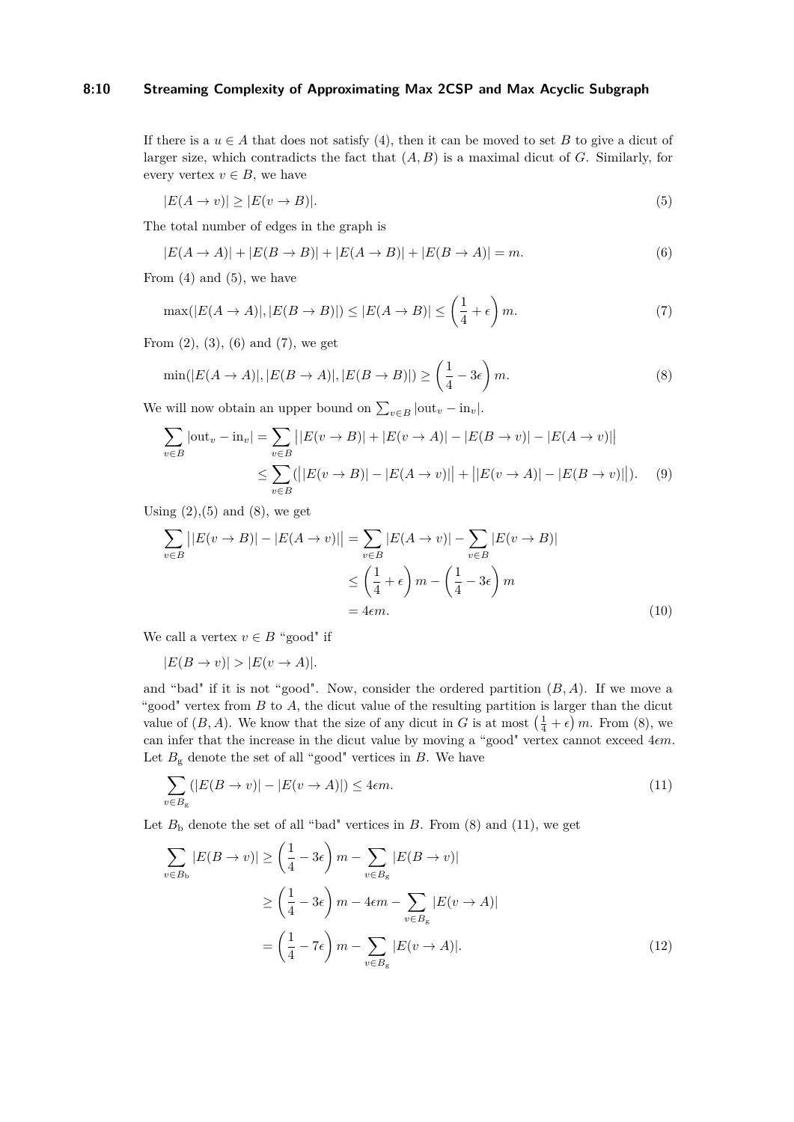# **8:10 Streaming Complexity of Approximating Max 2CSP and Max Acyclic Subgraph**

If there is a  $u \in A$  that does not satisfy [\(4\)](#page-8-1), then it can be moved to set *B* to give a dicut of larger size, which contradicts the fact that (*A, B*) is a maximal dicut of *G*. Similarly, for every vertex  $v \in B$ , we have

<span id="page-9-1"></span><span id="page-9-0"></span>
$$
|E(A \to v)| \ge |E(v \to B)|. \tag{5}
$$

The total number of edges in the graph is

<span id="page-9-2"></span>
$$
|E(A \to A)| + |E(B \to B)| + |E(A \to B)| + |E(B \to A)| = m.
$$
\n(6)

From  $(4)$  and  $(5)$ , we have

<span id="page-9-3"></span>
$$
\max(|E(A \to A)|, |E(B \to B)|) \le |E(A \to B)| \le \left(\frac{1}{4} + \epsilon\right)m. \tag{7}
$$

From  $(2)$ ,  $(3)$ ,  $(6)$  and  $(7)$ , we get

$$
\min(|E(A \to A)|, |E(B \to A)|, |E(B \to B)|) \ge \left(\frac{1}{4} - 3\epsilon\right)m. \tag{8}
$$

We will now obtain an upper bound on  $\sum_{v \in B} |\text{out}_v - \text{in}_v|$ .

<span id="page-9-6"></span>
$$
\sum_{v \in B} |\text{out}_{v} - \text{in}_{v}| = \sum_{v \in B} ||E(v \to B)| + |E(v \to A)| - |E(B \to v)| - |E(A \to v)||
$$
  

$$
\leq \sum_{v \in B} (||E(v \to B)| - |E(A \to v)|| + ||E(v \to A)| - |E(B \to v)||). \tag{9}
$$

Using  $(2),(5)$  $(2),(5)$  $(2),(5)$  and  $(8)$ , we get

<span id="page-9-7"></span>
$$
\sum_{v \in B} ||E(v \to B)| - |E(A \to v)|| = \sum_{v \in B} |E(A \to v)| - \sum_{v \in B} |E(v \to B)|
$$
  

$$
\leq \left(\frac{1}{4} + \epsilon\right) m - \left(\frac{1}{4} - 3\epsilon\right) m
$$
  
= 4*\epsilon*m. (10)

We call a vertex  $v \in B$  "good" if

<span id="page-9-4"></span> $|E(B \to v)| > |E(v \to A)|$ .

and "bad" if it is not "good". Now, consider the ordered partition (*B, A*). If we move a "good" vertex from *B* to *A*, the dicut value of the resulting partition is larger than the dicut value of  $(B, A)$ . We know that the size of any dicut in *G* is at most  $(\frac{1}{4} + \epsilon)$  *m*. From [\(8\)](#page-9-3), we can infer that the increase in the dicut value by moving a "good" vertex cannot exceed  $4\epsilon m$ . Let  $B_g$  denote the set of all "good" vertices in  $B$ . We have

$$
\sum_{v \in B_{\rm g}} (|E(B \to v)| - |E(v \to A)|) \le 4\epsilon m. \tag{11}
$$

Let  $B<sub>b</sub>$  denote the set of all "bad" vertices in  $B$ . From [\(8\)](#page-9-3) and [\(11\)](#page-9-4), we get

<span id="page-9-5"></span>
$$
\sum_{v \in B_{\rm b}} |E(B \to v)| \ge \left(\frac{1}{4} - 3\epsilon\right) m - \sum_{v \in B_{\rm g}} |E(B \to v)|
$$

$$
\ge \left(\frac{1}{4} - 3\epsilon\right) m - 4\epsilon m - \sum_{v \in B_{\rm g}} |E(v \to A)|
$$

$$
= \left(\frac{1}{4} - 7\epsilon\right) m - \sum_{v \in B_{\rm g}} |E(v \to A)|. \tag{12}
$$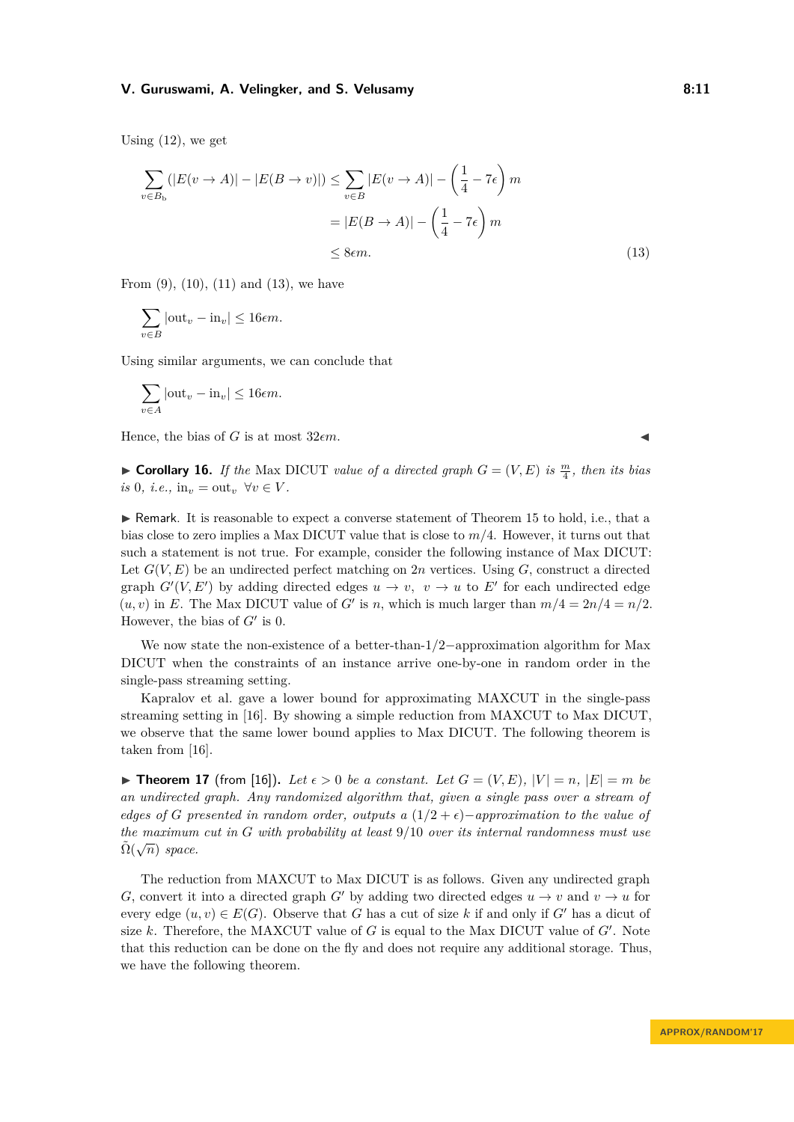Using  $(12)$ , we get

$$
\sum_{v \in B_{\text{b}}} (|E(v \to A)| - |E(B \to v)|) \le \sum_{v \in B} |E(v \to A)| - \left(\frac{1}{4} - 7\epsilon\right)m
$$
  
=  $|E(B \to A)| - \left(\frac{1}{4} - 7\epsilon\right)m$   
 $\le 8\epsilon m.$  (13)

From  $(9)$ ,  $(10)$ ,  $(11)$  and  $(13)$ , we have

$$
\sum_{v \in B} |\text{out}_v - \text{in}_v| \le 16\epsilon m.
$$

Using similar arguments, we can conclude that

$$
\sum_{v \in A} |\text{out}_v - \text{in}_v| \le 16\epsilon m.
$$

Hence, the bias of  $G$  is at most  $32\epsilon m$ .

**Corollary 16.** *If the Max DICUT value of a directed graph*  $G = (V, E)$  *is*  $\frac{m}{4}$ *, then its bias*  $is$  0, *i.e.*,  $in_v = out_v \ \forall v \in V$ .

 $\triangleright$  Remark. It is reasonable to expect a converse statement of Theorem [15](#page-8-4) to hold, i.e., that a bias close to zero implies a Max DICUT value that is close to *m/*4. However, it turns out that such a statement is not true. For example, consider the following instance of Max DICUT: Let  $G(V, E)$  be an undirected perfect matching on 2*n* vertices. Using  $G$ , construct a directed graph  $G'(V, E')$  by adding directed edges  $u \to v$ ,  $v \to u$  to E' for each undirected edge  $(u, v)$  in *E*. The Max DICUT value of *G'* is *n*, which is much larger than  $m/4 = 2n/4 = n/2$ . However, the bias of  $G'$  is 0.

We now state the non-existence of a better-than-1*/*2−approximation algorithm for Max DICUT when the constraints of an instance arrive one-by-one in random order in the single-pass streaming setting.

Kapralov et al. gave a lower bound for approximating MAXCUT in the single-pass streaming setting in [\[16\]](#page-15-0). By showing a simple reduction from MAXCUT to Max DICUT, we observe that the same lower bound applies to Max DICUT. The following theorem is taken from [\[16\]](#page-15-0).

<span id="page-10-1"></span> $\blacktriangleright$  **Theorem 17** (from [\[16\]](#page-15-0)). Let  $\epsilon > 0$  be a constant. Let  $G = (V, E)$ ,  $|V| = n$ ,  $|E| = m$  be *an undirected graph. Any randomized algorithm that, given a single pass over a stream of edges of G* presented in random order, outputs a  $(1/2 + \epsilon)$ −approximation to the value of *the maximum cut in G with probability at least* 9*/*10 *over its internal randomness must use* √  $\tilde{\Omega}(\sqrt{n})$  *space.* 

The reduction from MAXCUT to Max DICUT is as follows. Given any undirected graph *G*, convert it into a directed graph *G*<sup> $\prime$ </sup> by adding two directed edges  $u \rightarrow v$  and  $v \rightarrow u$  for every edge  $(u, v) \in E(G)$ . Observe that *G* has a cut of size *k* if and only if *G*<sup>*i*</sup> has a dicut of size  $k$ . Therefore, the MAXCUT value of  $G$  is equal to the Max DICUT value of  $G'$ . Note that this reduction can be done on the fly and does not require any additional storage. Thus, we have the following theorem.

<span id="page-10-0"></span>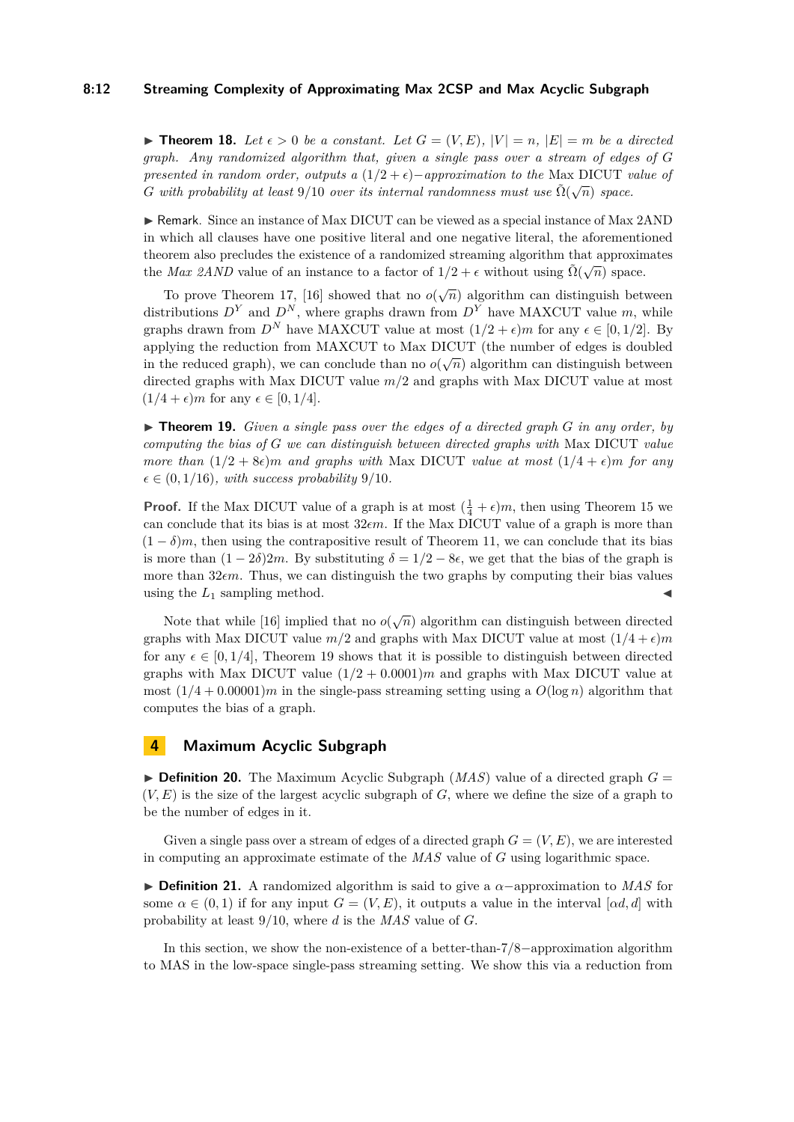#### **8:12 Streaming Complexity of Approximating Max 2CSP and Max Acyclic Subgraph**

 $\triangleright$  **Theorem 18.** Let  $\epsilon > 0$  be a constant. Let  $G = (V, E)$ ,  $|V| = n$ ,  $|E| = m$  be a directed *graph. Any randomized algorithm that, given a single pass over a stream of edges of G presented in random order, outputs a* (1/2 +  $\epsilon$ )−*approximation to the* Max DICUT *value of G* with probability at least 9/10 *over its internal randomness must use*  $\tilde{\Omega}(\sqrt{n})$  *space.* 

 $\triangleright$  Remark. Since an instance of Max DICUT can be viewed as a special instance of Max 2AND in which all clauses have one positive literal and one negative literal, the aforementioned theorem also precludes the existence of a randomized streaming algorithm that approximates the *Max 2AND* value of an instance to a factor of  $1/2 + \epsilon$  without using  $\tilde{\Omega}(\sqrt{n})$  space.

To prove Theorem [17,](#page-10-1) [\[16\]](#page-15-0) showed that no  $o(\sqrt{n})$  algorithm can distinguish between distributions  $D^Y$  and  $D^N$ , where graphs drawn from  $D^Y$  have MAXCUT value *m*, while graphs drawn from  $D^N$  have MAXCUT value at most  $(1/2 + \epsilon)m$  for any  $\epsilon \in [0, 1/2]$ . By applying the reduction from MAXCUT to Max DICUT (the number of edges is doubled in the reduced graph), we can conclude than no  $o(\sqrt{n})$  algorithm can distinguish between directed graphs with Max DICUT value *m/*2 and graphs with Max DICUT value at most  $(1/4 + \epsilon)m$  for any  $\epsilon \in [0, 1/4]$ .

<span id="page-11-0"></span>▶ **Theorem 19.** *Given a single pass over the edges of a directed graph G in any order, by computing the bias of G we can distinguish between directed graphs with* Max DICUT *value more than*  $(1/2 + 8\epsilon)m$  *and graphs with* Max DICUT *value at most*  $(1/4 + \epsilon)m$  *for any*  $\epsilon \in (0, 1/16)$ *, with success probability* 9/10*.* 

**Proof.** If the Max DICUT value of a graph is at most  $(\frac{1}{4} + \epsilon)m$ , then using Theorem [15](#page-8-4) we can conclude that its bias is at most  $32 \epsilon m$ . If the Max DICUT value of a graph is more than  $(1 - \delta)m$ , then using the contrapositive result of Theorem [11,](#page-6-2) we can conclude that its bias is more than  $(1 - 2\delta)2m$ . By substituting  $\delta = 1/2 - 8\epsilon$ , we get that the bias of the graph is more than 32*m*. Thus, we can distinguish the two graphs by computing their bias values using the  $L_1$  sampling method.

Note that while [\[16\]](#page-15-0) implied that no  $o(\sqrt{n})$  algorithm can distinguish between directed graphs with Max DICUT value  $m/2$  and graphs with Max DICUT value at most  $(1/4 + \epsilon)m$ for any  $\epsilon \in [0, 1/4]$ , Theorem [19](#page-11-0) shows that it is possible to distinguish between directed graphs with Max DICUT value  $(1/2 + 0.0001)m$  and graphs with Max DICUT value at most  $(1/4 + 0.00001)m$  in the single-pass streaming setting using a  $O(\log n)$  algorithm that computes the bias of a graph.

# **4 Maximum Acyclic Subgraph**

 $\triangleright$  **Definition 20.** The Maximum Acyclic Subgraph (*MAS*) value of a directed graph  $G =$  $(V, E)$  is the size of the largest acyclic subgraph of  $G$ , where we define the size of a graph to be the number of edges in it.

Given a single pass over a stream of edges of a directed graph  $G = (V, E)$ , we are interested in computing an approximate estimate of the *MAS* value of *G* using logarithmic space.

**► Definition 21.** A randomized algorithm is said to give a α-approximation to *MAS* for some  $\alpha \in (0,1)$  if for any input  $G = (V, E)$ , it outputs a value in the interval [*αd, d*] with probability at least 9*/*10, where *d* is the *MAS* value of *G*.

In this section, we show the non-existence of a better-than-7*/*8−approximation algorithm to MAS in the low-space single-pass streaming setting. We show this via a reduction from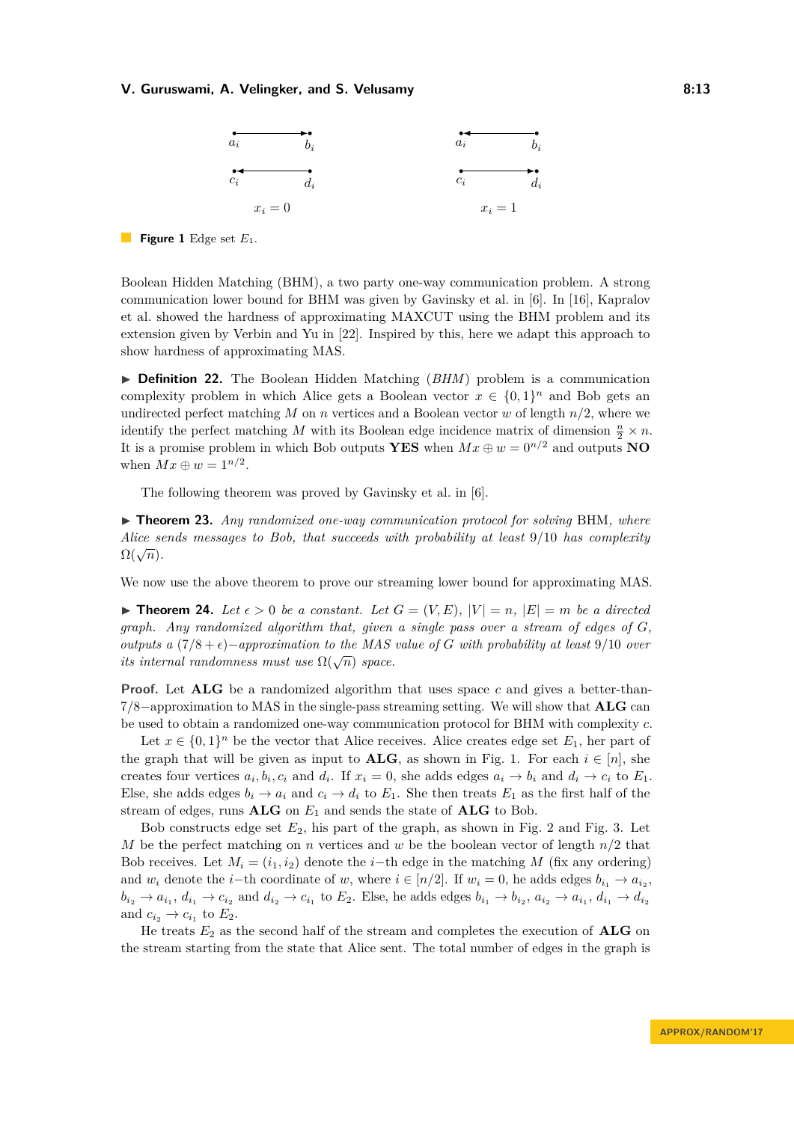<span id="page-12-0"></span>

**Figure 1** Edge set *E*1.

Boolean Hidden Matching (BHM), a two party one-way communication problem. A strong communication lower bound for BHM was given by Gavinsky et al. in [\[6\]](#page-14-7). In [\[16\]](#page-15-0), Kapralov et al. showed the hardness of approximating MAXCUT using the BHM problem and its extension given by Verbin and Yu in [\[22\]](#page-15-12). Inspired by this, here we adapt this approach to show hardness of approximating MAS.

▶ **Definition 22.** The Boolean Hidden Matching (*BHM*) problem is a communication complexity problem in which Alice gets a Boolean vector  $x \in \{0,1\}^n$  and Bob gets an undirected perfect matching  $M$  on  $n$  vertices and a Boolean vector  $w$  of length  $n/2$ , where we identify the perfect matching *M* with its Boolean edge incidence matrix of dimension  $\frac{n}{2} \times n$ . It is a promise problem in which Bob outputs **YES** when  $Mx \oplus w = 0^{n/2}$  and outputs **NO** when  $Mx \oplus w = 1^{n/2}$ .

The following theorem was proved by Gavinsky et al. in [\[6\]](#page-14-7).

<span id="page-12-1"></span>▶ **Theorem 23.** *Any randomized one-way communication protocol for solving* BHM, where *Alice sends messages to Bob, that succeeds with probability at least* 9*/*10 *has complexity*  $\Omega(\sqrt{n})$ .

We now use the above theorem to prove our streaming lower bound for approximating MAS.

 $\triangleright$  **Theorem 24.** Let  $\epsilon > 0$  be a constant. Let  $G = (V, E), |V| = n, |E| = m$  be a directed *graph. Any randomized algorithm that, given a single pass over a stream of edges of G, outputs a*  $(7/8 + \epsilon)$ −*approximation to the MAS value of G with probability at least* 9/10 *over its internal randomness must use*  $\Omega(\sqrt{n})$  *space.* 

**Proof.** Let **ALG** be a randomized algorithm that uses space *c* and gives a better-than-7*/*8−approximation to MAS in the single-pass streaming setting. We will show that **ALG** can be used to obtain a randomized one-way communication protocol for BHM with complexity *c*.

Let  $x \in \{0,1\}^n$  be the vector that Alice receives. Alice creates edge set  $E_1$ , her part of the graph that will be given as input to **ALG**, as shown in Fig. [1.](#page-12-0) For each  $i \in [n]$ , she creates four vertices  $a_i, b_i, c_i$  and  $d_i$ . If  $x_i = 0$ , she adds edges  $a_i \rightarrow b_i$  and  $d_i \rightarrow c_i$  to  $E_1$ . Else, she adds edges  $b_i \rightarrow a_i$  and  $c_i \rightarrow d_i$  to  $E_1$ . She then treats  $E_1$  as the first half of the stream of edges, runs  $ALG$  on  $E_1$  and sends the state of  $ALG$  to Bob.

Bob constructs edge set *E*2, his part of the graph, as shown in Fig. [2](#page-13-0) and Fig. [3.](#page-13-1) Let *M* be the perfect matching on *n* vertices and *w* be the boolean vector of length *n/*2 that Bob receives. Let  $M_i = (i_1, i_2)$  denote the *i*−th edge in the matching *M* (fix any ordering) and  $w_i$  denote the *i*−th coordinate of  $w$ , where  $i \in [n/2]$ . If  $w_i = 0$ , he adds edges  $b_{i_1} \rightarrow a_{i_2}$ ,  $b_{i_2} \rightarrow a_{i_1}, d_{i_1} \rightarrow c_{i_2}$  and  $d_{i_2} \rightarrow c_{i_1}$  to  $E_2$ . Else, he adds edges  $b_{i_1} \rightarrow b_{i_2}, a_{i_2} \rightarrow a_{i_1}, d_{i_1} \rightarrow d_{i_2}$ and  $c_{i_2} \rightarrow c_{i_1}$  to  $E_2$ .

He treats  $E_2$  as the second half of the stream and completes the execution of **ALG** on the stream starting from the state that Alice sent. The total number of edges in the graph is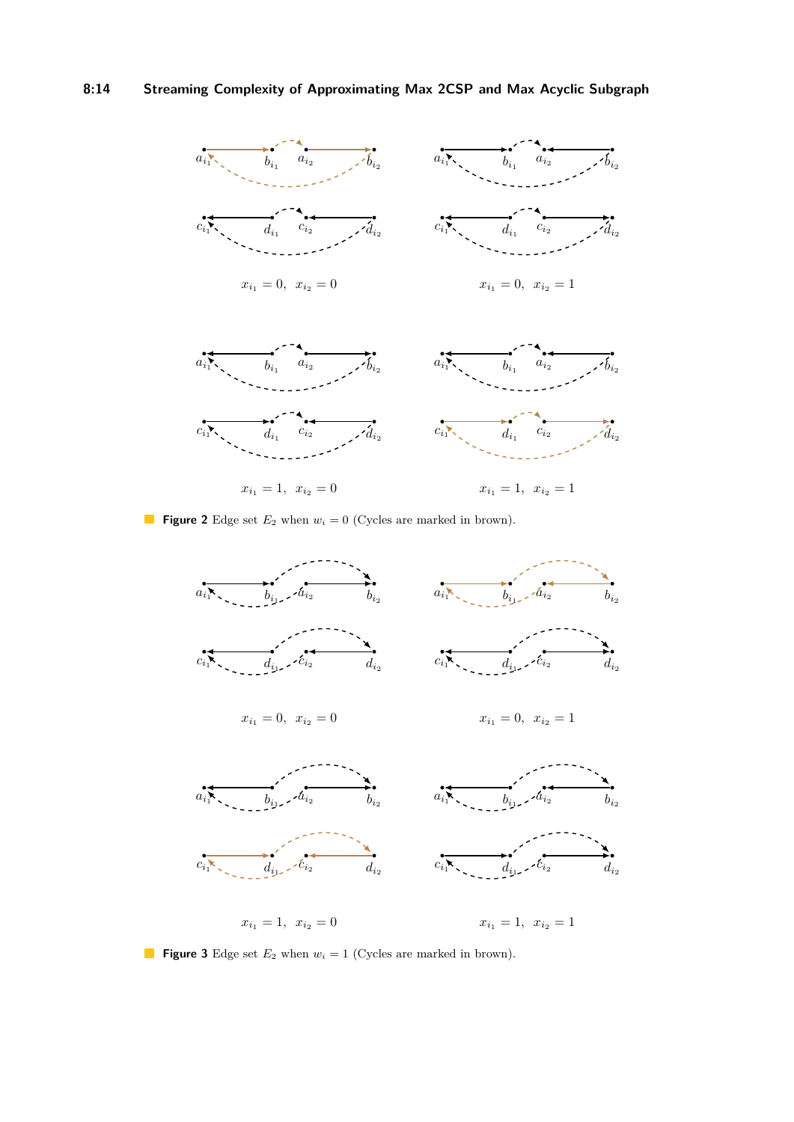# **8:14 Streaming Complexity of Approximating Max 2CSP and Max Acyclic Subgraph**

<span id="page-13-0"></span>

**Figure 2** Edge set  $E_2$  when  $w_i = 0$  (Cycles are marked in brown).

<span id="page-13-1"></span>

**Figure 3** Edge set  $E_2$  when  $w_i = 1$  (Cycles are marked in brown).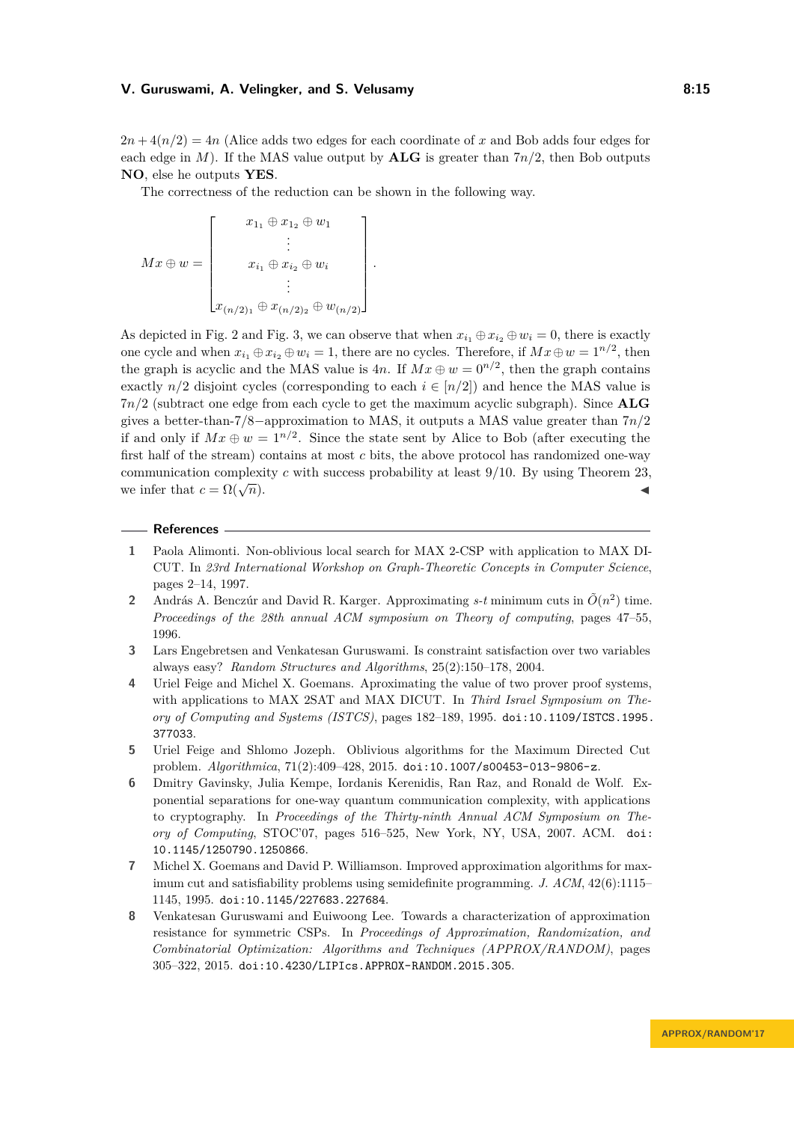$2n + 4(n/2) = 4n$  (Alice adds two edges for each coordinate of x and Bob adds four edges for each edge in *M*). If the MAS value output by **ALG** is greater than  $7n/2$ , then Bob outputs **NO**, else he outputs **YES**.

The correctness of the reduction can be shown in the following way.

 $Mx \oplus w =$  $\lceil$  $\overline{\phantom{a}}$  $x_{1_1} \oplus x_{1_2} \oplus w_1$ . . .  $x_{i_1} \oplus x_{i_2} \oplus w_i$ . . .  $x_{(n/2)_1} \oplus x_{(n/2)_2} \oplus w_{(n/2)}$ 1  $\begin{array}{c} \hline \end{array}$ *.*

As depicted in Fig. [2](#page-13-0) and Fig. [3,](#page-13-1) we can observe that when  $x_{i_1} \oplus x_{i_2} \oplus w_i = 0$ , there is exactly one cycle and when  $x_{i_1} \oplus x_{i_2} \oplus w_i = 1$ , there are no cycles. Therefore, if  $Mx \oplus w = 1^{n/2}$ , then the graph is acyclic and the MAS value is  $4n$ . If  $Mx \oplus w = 0^{n/2}$ , then the graph contains exactly  $n/2$  disjoint cycles (corresponding to each  $i \in [n/2]$ ) and hence the MAS value is 7*n/*2 (subtract one edge from each cycle to get the maximum acyclic subgraph). Since **ALG** gives a better-than-7*/*8−approximation to MAS, it outputs a MAS value greater than 7*n/*2 if and only if  $Mx \oplus w = 1^{n/2}$ . Since the state sent by Alice to Bob (after executing the first half of the stream) contains at most *c* bits, the above protocol has randomized one-way communication complexity *c* with success probability at least 9*/*10. By using Theorem [23,](#page-12-1) we infer that  $c = \Omega(\sqrt{n})$ .  $\overline{n}$ ).

#### **References**

- <span id="page-14-4"></span>**1** Paola Alimonti. Non-oblivious local search for MAX 2-CSP with application to MAX DI-CUT. In *23rd International Workshop on Graph-Theoretic Concepts in Computer Science*, pages 2–14, 1997.
- <span id="page-14-0"></span>2 András A. Benczúr and David R. Karger. Approximating  $s$ -t minimum cuts in  $\tilde{O}(n^2)$  time. *Proceedings of the 28th annual ACM symposium on Theory of computing*, pages 47–55, 1996.
- <span id="page-14-6"></span>**3** Lars Engebretsen and Venkatesan Guruswami. Is constraint satisfaction over two variables always easy? *Random Structures and Algorithms*, 25(2):150–178, 2004.
- <span id="page-14-3"></span>**4** Uriel Feige and Michel X. Goemans. Aproximating the value of two prover proof systems, with applications to MAX 2SAT and MAX DICUT. In *Third Israel Symposium on Theory of Computing and Systems (ISTCS)*, pages 182–189, 1995. [doi:10.1109/ISTCS.1995.](http://dx.doi.org/10.1109/ISTCS.1995.377033) [377033](http://dx.doi.org/10.1109/ISTCS.1995.377033).
- <span id="page-14-5"></span>**5** Uriel Feige and Shlomo Jozeph. Oblivious algorithms for the Maximum Directed Cut problem. *Algorithmica*, 71(2):409–428, 2015. [doi:10.1007/s00453-013-9806-z](http://dx.doi.org/10.1007/s00453-013-9806-z).
- <span id="page-14-7"></span>**6** Dmitry Gavinsky, Julia Kempe, Iordanis Kerenidis, Ran Raz, and Ronald de Wolf. Exponential separations for one-way quantum communication complexity, with applications to cryptography. In *Proceedings of the Thirty-ninth Annual ACM Symposium on Theory of Computing*, STOC'07, pages 516–525, New York, NY, USA, 2007. ACM. [doi:](http://dx.doi.org/10.1145/1250790.1250866) [10.1145/1250790.1250866](http://dx.doi.org/10.1145/1250790.1250866).
- <span id="page-14-2"></span>**7** Michel X. Goemans and David P. Williamson. Improved approximation algorithms for maximum cut and satisfiability problems using semidefinite programming. *J. ACM*, 42(6):1115– 1145, 1995. [doi:10.1145/227683.227684](http://dx.doi.org/10.1145/227683.227684).
- <span id="page-14-1"></span>**8** Venkatesan Guruswami and Euiwoong Lee. Towards a characterization of approximation resistance for symmetric CSPs. In *Proceedings of Approximation, Randomization, and Combinatorial Optimization: Algorithms and Techniques (APPROX/RANDOM)*, pages 305–322, 2015. [doi:10.4230/LIPIcs.APPROX-RANDOM.2015.305](http://dx.doi.org/10.4230/LIPIcs.APPROX-RANDOM.2015.305).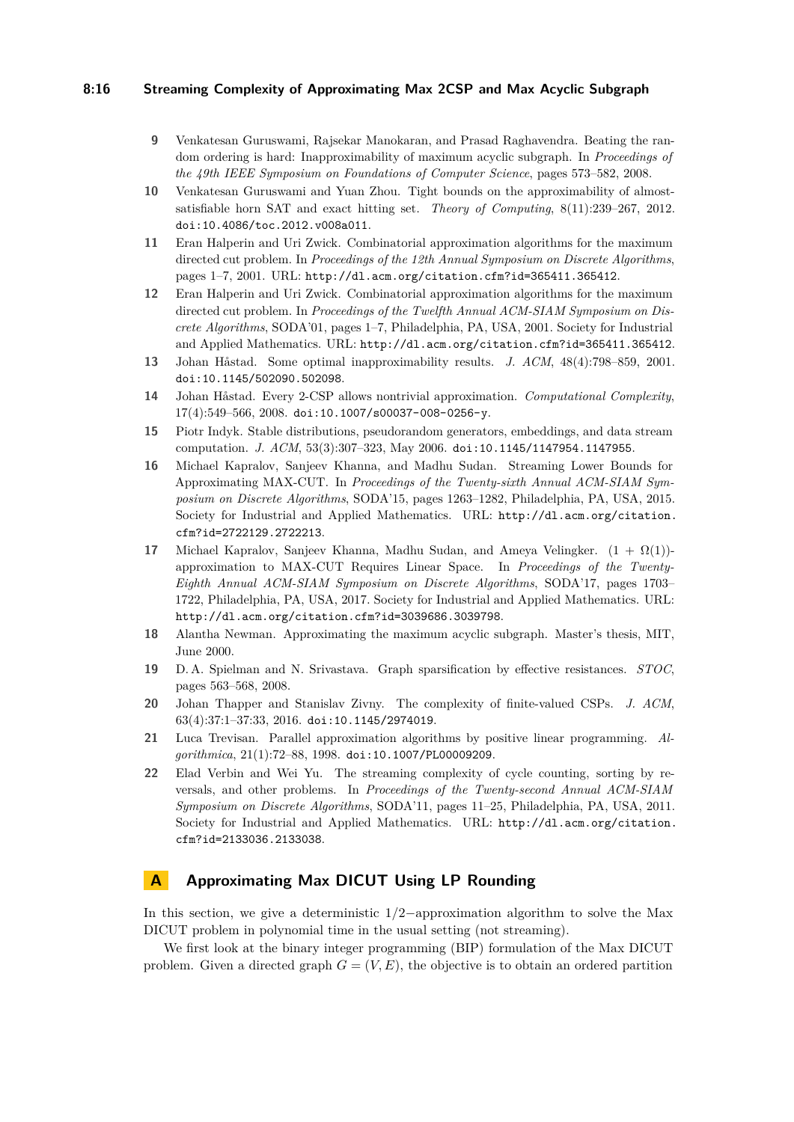## **8:16 Streaming Complexity of Approximating Max 2CSP and Max Acyclic Subgraph**

- <span id="page-15-9"></span>**9** Venkatesan Guruswami, Rajsekar Manokaran, and Prasad Raghavendra. Beating the random ordering is hard: Inapproximability of maximum acyclic subgraph. In *Proceedings of the 49th IEEE Symposium on Foundations of Computer Science*, pages 573–582, 2008.
- <span id="page-15-14"></span>**10** Venkatesan Guruswami and Yuan Zhou. Tight bounds on the approximability of almostsatisfiable horn SAT and exact hitting set. *Theory of Computing*, 8(11):239–267, 2012. [doi:10.4086/toc.2012.v008a011](http://dx.doi.org/10.4086/toc.2012.v008a011).
- <span id="page-15-7"></span>**11** Eran Halperin and Uri Zwick. Combinatorial approximation algorithms for the maximum directed cut problem. In *Proceedings of the 12th Annual Symposium on Discrete Algorithms*, pages 1–7, 2001. URL: <http://dl.acm.org/citation.cfm?id=365411.365412>.
- <span id="page-15-13"></span>**12** Eran Halperin and Uri Zwick. Combinatorial approximation algorithms for the maximum directed cut problem. In *Proceedings of the Twelfth Annual ACM-SIAM Symposium on Discrete Algorithms*, SODA'01, pages 1–7, Philadelphia, PA, USA, 2001. Society for Industrial and Applied Mathematics. URL: <http://dl.acm.org/citation.cfm?id=365411.365412>.
- <span id="page-15-4"></span>**13** Johan Håstad. Some optimal inapproximability results. *J. ACM*, 48(4):798–859, 2001. [doi:10.1145/502090.502098](http://dx.doi.org/10.1145/502090.502098).
- <span id="page-15-5"></span>**14** Johan Håstad. Every 2-CSP allows nontrivial approximation. *Computational Complexity*,  $17(4):549-566, 2008.$ [doi:10.1007/s00037-008-0256-y](http://dx.doi.org/10.1007/s00037-008-0256-y).
- <span id="page-15-11"></span>**15** Piotr Indyk. Stable distributions, pseudorandom generators, embeddings, and data stream computation. *J. ACM*, 53(3):307–323, May 2006. [doi:10.1145/1147954.1147955](http://dx.doi.org/10.1145/1147954.1147955).
- <span id="page-15-0"></span>**16** Michael Kapralov, Sanjeev Khanna, and Madhu Sudan. Streaming Lower Bounds for Approximating MAX-CUT. In *Proceedings of the Twenty-sixth Annual ACM-SIAM Symposium on Discrete Algorithms*, SODA'15, pages 1263–1282, Philadelphia, PA, USA, 2015. Society for Industrial and Applied Mathematics. URL: [http://dl.acm.org/citation.](http://dl.acm.org/citation.cfm?id=2722129.2722213) [cfm?id=2722129.2722213](http://dl.acm.org/citation.cfm?id=2722129.2722213).
- <span id="page-15-1"></span>**17** Michael Kapralov, Sanjeev Khanna, Madhu Sudan, and Ameya Velingker.  $(1 + \Omega(1))$ approximation to MAX-CUT Requires Linear Space. In *Proceedings of the Twenty-Eighth Annual ACM-SIAM Symposium on Discrete Algorithms*, SODA'17, pages 1703– 1722, Philadelphia, PA, USA, 2017. Society for Industrial and Applied Mathematics. URL: <http://dl.acm.org/citation.cfm?id=3039686.3039798>.
- <span id="page-15-10"></span>**18** Alantha Newman. Approximating the maximum acyclic subgraph. Master's thesis, MIT, June 2000.
- <span id="page-15-2"></span>**19** D. A. Spielman and N. Srivastava. Graph sparsification by effective resistances. *STOC*, pages 563–568, 2008.
- <span id="page-15-3"></span>**20** Johan Thapper and Stanislav Zivny. The complexity of finite-valued CSPs. *J. ACM*, 63(4):37:1–37:33, 2016. [doi:10.1145/2974019](http://dx.doi.org/10.1145/2974019).
- <span id="page-15-6"></span>**21** Luca Trevisan. Parallel approximation algorithms by positive linear programming. *Algorithmica*, 21(1):72–88, 1998. [doi:10.1007/PL00009209](http://dx.doi.org/10.1007/PL00009209).
- <span id="page-15-12"></span>**22** Elad Verbin and Wei Yu. The streaming complexity of cycle counting, sorting by reversals, and other problems. In *Proceedings of the Twenty-second Annual ACM-SIAM Symposium on Discrete Algorithms*, SODA'11, pages 11–25, Philadelphia, PA, USA, 2011. Society for Industrial and Applied Mathematics. URL: [http://dl.acm.org/citation.](http://dl.acm.org/citation.cfm?id=2133036.2133038) [cfm?id=2133036.2133038](http://dl.acm.org/citation.cfm?id=2133036.2133038).

# <span id="page-15-8"></span>**A Approximating Max DICUT Using LP Rounding**

In this section, we give a deterministic 1*/*2−approximation algorithm to solve the Max DICUT problem in polynomial time in the usual setting (not streaming).

We first look at the binary integer programming (BIP) formulation of the Max DICUT problem. Given a directed graph  $G = (V, E)$ , the objective is to obtain an ordered partition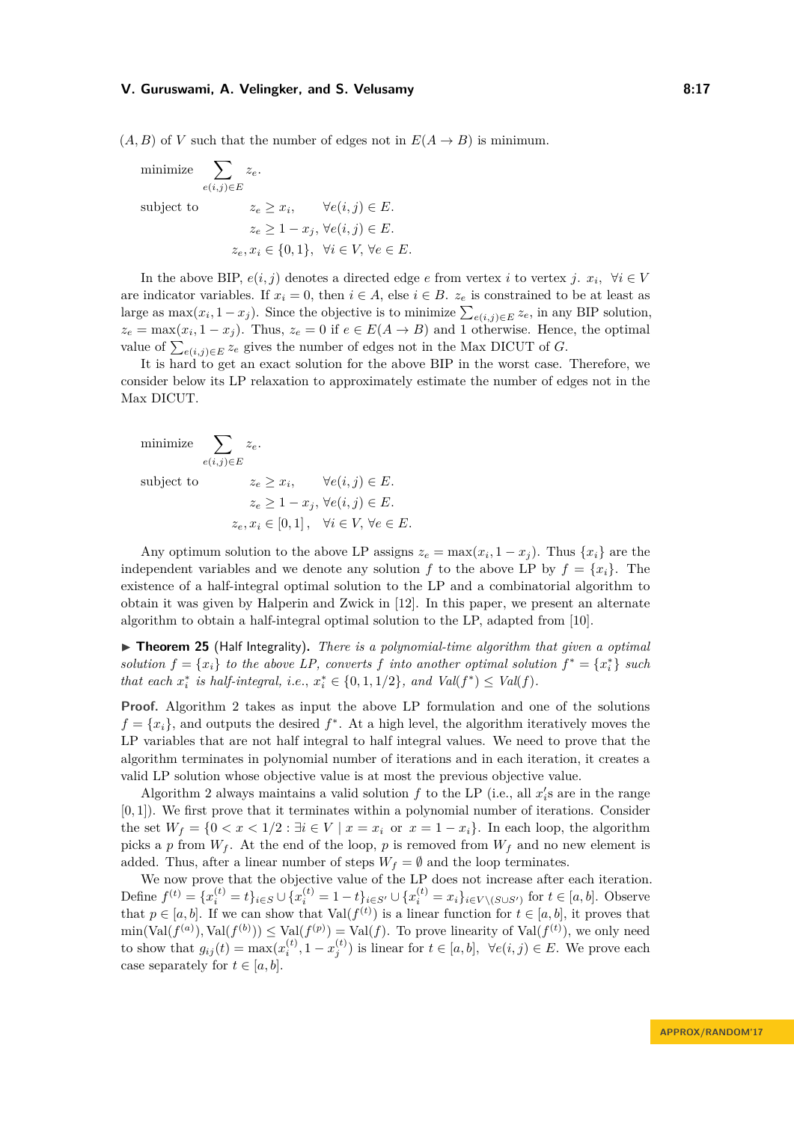$(A, B)$  of *V* such that the number of edges not in  $E(A \rightarrow B)$  is minimum.

minimize 
$$
\sum_{e(i,j)\in E} z_e.
$$
  
subject to 
$$
z_e \ge x_i, \qquad \forall e(i,j) \in E.
$$

$$
z_e \ge 1 - x_j, \forall e(i,j) \in E.
$$

$$
z_e, x_i \in \{0,1\}, \quad \forall i \in V, \forall e \in E.
$$

In the above BIP,  $e(i, j)$  denotes a directed edge *e* from vertex *i* to vertex *j*.  $x_i$ ,  $\forall i \in V$ are indicator variables. If  $x_i = 0$ , then  $i \in A$ , else  $i \in B$ .  $z_e$  is constrained to be at least as large as  $\max(x_i, 1-x_j)$ . Since the objective is to minimize  $\sum_{e(i,j)\in E} z_e$ , in any BIP solution,  $z_e = \max(x_i, 1 - x_j)$ . Thus,  $z_e = 0$  if  $e \in E(A \to B)$  and 1 otherwise. Hence, the optimal value of  $\sum_{e(i,j)\in E} z_e$  gives the number of edges not in the Max DICUT of *G*.

It is hard to get an exact solution for the above BIP in the worst case. Therefore, we consider below its LP relaxation to approximately estimate the number of edges not in the Max DICUT.

minimize 
$$
\sum_{e(i,j)\in E} z_e.
$$
  
subject to 
$$
z_e \ge x_i, \qquad \forall e(i,j) \in E.
$$

$$
z_e \ge 1 - x_j, \forall e(i,j) \in E.
$$

$$
z_e, x_i \in [0,1], \quad \forall i \in V, \forall e \in E.
$$

Any optimum solution to the above LP assigns  $z_e = \max(x_i, 1 - x_j)$ . Thus  $\{x_i\}$  are the independent variables and we denote any solution f to the above LP by  $f = \{x_i\}$ . The existence of a half-integral optimal solution to the LP and a combinatorial algorithm to obtain it was given by Halperin and Zwick in [\[12\]](#page-15-13). In this paper, we present an alternate algorithm to obtain a half-integral optimal solution to the LP, adapted from [\[10\]](#page-15-14).

 $\triangleright$  **Theorem 25** (Half Integrality). *There is a polynomial-time algorithm that given a optimal solution*  $f = \{x_i\}$  *to the above LP, converts*  $f$  *into another optimal solution*  $f^* = \{x_i^*\}$  *such that each*  $x_i^*$  *is half-integral, i.e.,*  $x_i^* \in \{0, 1, 1/2\}$ *, and Val*( $f^*$ )  $\leq$  *Val*( $f$ )*.* 

**Proof.** Algorithm [2](#page-17-0) takes as input the above LP formulation and one of the solutions  $f = \{x_i\}$ , and outputs the desired  $f^*$ . At a high level, the algorithm iteratively moves the LP variables that are not half integral to half integral values. We need to prove that the algorithm terminates in polynomial number of iterations and in each iteration, it creates a valid LP solution whose objective value is at most the previous objective value.

Algorithm [2](#page-17-0) always maintains a valid solution  $f$  to the LP (i.e., all  $x_i$ 's are in the range [0*,* 1]). We first prove that it terminates within a polynomial number of iterations. Consider the set  $W_f = \{0 < x < 1/2 : \exists i \in V \mid x = x_i \text{ or } x = 1 - x_i\}.$  In each loop, the algorithm picks a *p* from  $W_f$ . At the end of the loop, *p* is removed from  $W_f$  and no new element is added. Thus, after a linear number of steps  $W_f = \emptyset$  and the loop terminates.

We now prove that the objective value of the LP does not increase after each iteration. Define  $f^{(t)} = \{x_i^{(t)} = t\}_{i \in S} \cup \{x_i^{(t)} = 1 - t\}_{i \in S'} \cup \{x_i^{(t)} = x_i\}_{i \in V \setminus (S \cup S')}$  for  $t \in [a, b]$ . Observe that  $p \in [a, b]$ . If we can show that  $Val(f^{(t)})$  is a linear function for  $t \in [a, b]$ , it proves that  $\min(\text{Val}(f^{(a)}), \text{Val}(f^{(b)})) \leq \text{Val}(f^{(p)}) = \text{Val}(f)$ . To prove linearity of  $\text{Val}(f^{(t)})$ , we only need to show that  $g_{ij}(t) = \max(x_i^{(t)}, 1 - x_j^{(t)})$  is linear for  $t \in [a, b]$ ,  $\forall e(i, j) \in E$ . We prove each case separately for  $t \in [a, b]$ .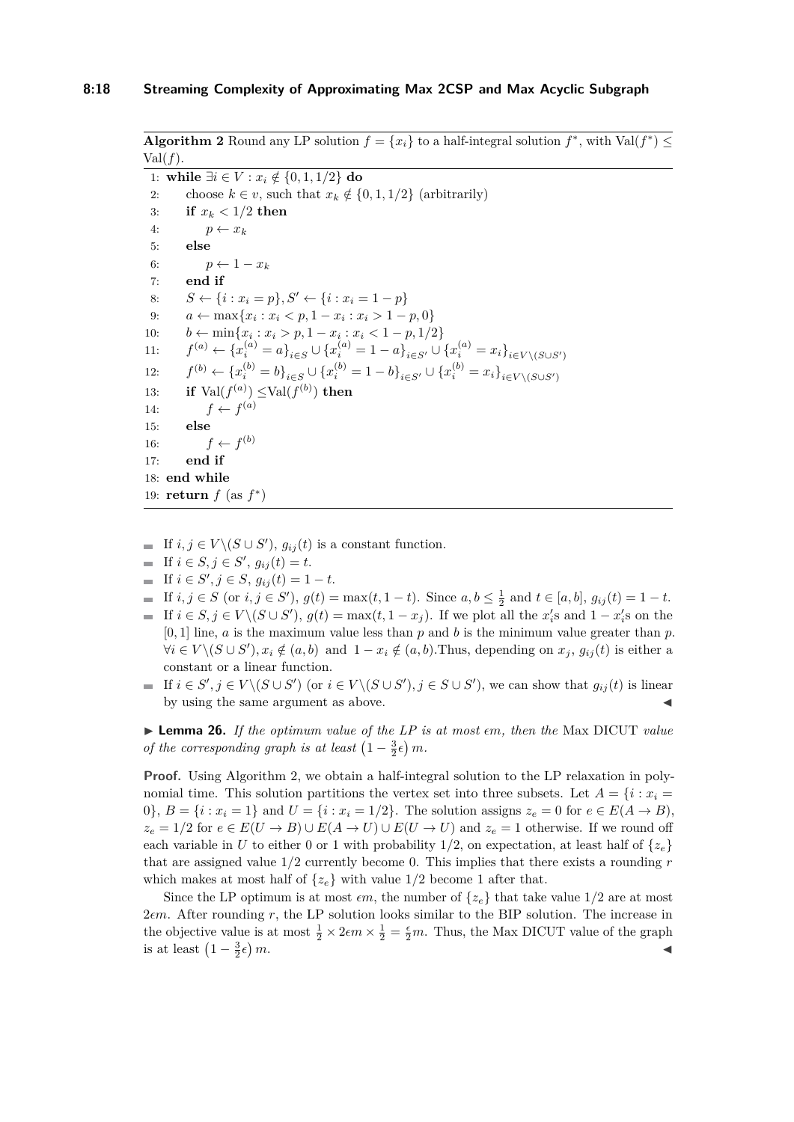<span id="page-17-0"></span>**Algorithm 2** Round any LP solution  $f = \{x_i\}$  to a half-integral solution  $f^*$ , with Val $(f^*) \le$  $Val(f).$ 

1: **while** ∃*i* ∈ *V* : *x<sup>i</sup>* ∈ { */* 0*,* 1*,* 1*/*2} **do** 2: choose  $k \in v$ , such that  $x_k \notin \{0, 1, 1/2\}$  (arbitrarily) 3: **if**  $x_k < 1/2$  then 4:  $p \leftarrow x_k$ 5: **else** 6:  $p \leftarrow 1 - x_k$ 7: **end if** 8: *S* ← {*i* : *x*<sub>*i*</sub> = *p*}, *S*<sup>*'*</sup> ← {*i* : *x*<sub>*i*</sub> = 1 − *p*} 9:  $a \leftarrow \max\{x_i : x_i < p, 1 - x_i : x_i > 1 - p, 0\}$ 10: *b* ← min ${x_i : x_i > p, 1 - x_i : x_i < 1 - p, 1/2}$ 11: *f*  $\mathcal{L}^{(a)} \leftarrow \{x_i^{(a)} = a\}_{i \in S} \cup \{x_i^{(a)} = 1 - a\}_{i \in S'} \cup \{x_i^{(a)} = x_i\}_{i \in V \setminus (S \cup S')}$ 12: *f*  $\mathcal{L}^{(b)} \leftarrow \{x_i^{(b)} = b\}_{i \in S} \cup \{x_i^{(b)} = 1 - b\}_{i \in S'} \cup \{x_i^{(b)} = x_i\}_{i \in V \setminus (S \cup S')}$ 13: **if**  $\text{Val}(f^{(a)}) \leq \text{Val}(f^{(b)})$  then 14:  $f \leftarrow f^{(a)}$ 15: **else** 16:  $f \leftarrow f^{(b)}$ 17: **end if** 18: **end while** 19: **return**  $f$  (as  $f^*$ )

- If  $i, j \in V \setminus (S \cup S')$ ,  $g_{ij}(t)$  is a constant function.
- If  $i \in S, j \in S', g_{ij}(t) = t$ .
- If *i* ∈  $S', j \in S, g_{ij}(t) = 1 t$ .
- If *i*, *j* ∈ *S* (or *i*, *j* ∈ *S'*), *g*(*t*) = max(*t*, 1 − *t*). Since *a*, *b* ≤  $\frac{1}{2}$  and *t* ∈ [*a*, *b*], *g*<sub>*ij*</sub>(*t*) = 1 − *t*.
- If  $i \in S, j \in V \setminus (S \cup S')$ ,  $g(t) = \max(t, 1 x_j)$ . If we plot all the  $x_i$ 's and  $1 x_i$ 's on the [0*,* 1] line, *a* is the maximum value less than *p* and *b* is the minimum value greater than *p*.  $\forall i \in V \setminus (S \cup S')$ ,  $x_i \notin (a, b)$  and  $1 - x_i \notin (a, b)$ . Thus, depending on  $x_j$ ,  $g_{ij}(t)$  is either a constant or a linear function.
- If  $i \in S', j \in V \setminus (S \cup S')$  (or  $i \in V \setminus (S \cup S')$ ,  $j \in S \cup S'$ ), we can show that  $g_{ij}(t)$  is linear by using the same argument as above.

<span id="page-17-1"></span> $\blacktriangleright$  **Lemma 26.** If the optimum value of the LP is at most  $\epsilon$ m, then the Max DICUT value *of the corresponding graph is at least*  $\left(1 - \frac{3}{2} \epsilon\right) m$ .

**Proof.** Using Algorithm [2,](#page-17-0) we obtain a half-integral solution to the LP relaxation in polynomial time. This solution partitions the vertex set into three subsets. Let  $A = \{i : x_i =$ 0},  $B = \{i : x_i = 1\}$  and  $U = \{i : x_i = 1/2\}$ . The solution assigns  $z_e = 0$  for  $e \in E(A \to B)$ ,  $z_e = 1/2$  for  $e \in E(U \to B) \cup E(A \to U) \cup E(U \to U)$  and  $z_e = 1$  otherwise. If we round off each variable in *U* to either 0 or 1 with probability  $1/2$ , on expectation, at least half of  $\{z_e\}$ that are assigned value 1*/*2 currently become 0. This implies that there exists a rounding *r* which makes at most half of  $\{z_e\}$  with value  $1/2$  become 1 after that.

Since the LP optimum is at most  $\epsilon m$ , the number of  $\{z_e\}$  that take value 1/2 are at most 2*m*. After rounding *r*, the LP solution looks similar to the BIP solution. The increase in the objective value is at most  $\frac{1}{2} \times 2\epsilon m \times \frac{1}{2} = \frac{\epsilon}{2}m$ . Thus, the Max DICUT value of the graph is at least  $\left(1 - \frac{3}{2}\epsilon\right)$  $m$ .